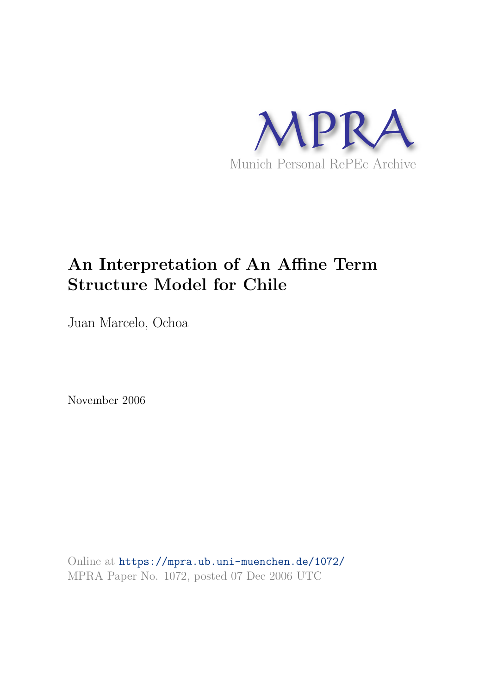

# **An Interpretation of An Affine Term Structure Model for Chile**

Juan Marcelo, Ochoa

November 2006

Online at https://mpra.ub.uni-muenchen.de/1072/ MPRA Paper No. 1072, posted 07 Dec 2006 UTC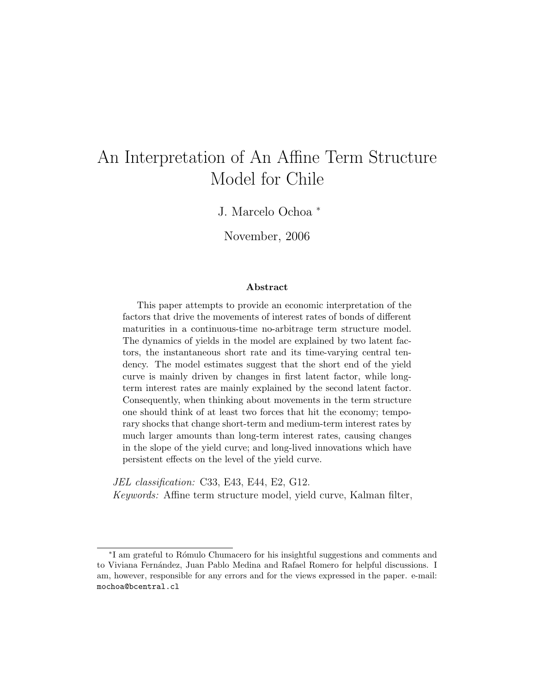# An Interpretation of An Affine Term Structure Model for Chile

J. Marcelo Ochoa <sup>∗</sup>

November, 2006

#### Abstract

This paper attempts to provide an economic interpretation of the factors that drive the movements of interest rates of bonds of different maturities in a continuous-time no-arbitrage term structure model. The dynamics of yields in the model are explained by two latent factors, the instantaneous short rate and its time-varying central tendency. The model estimates suggest that the short end of the yield curve is mainly driven by changes in first latent factor, while longterm interest rates are mainly explained by the second latent factor. Consequently, when thinking about movements in the term structure one should think of at least two forces that hit the economy; temporary shocks that change short-term and medium-term interest rates by much larger amounts than long-term interest rates, causing changes in the slope of the yield curve; and long-lived innovations which have persistent effects on the level of the yield curve.

JEL classification: C33, E43, E44, E2, G12. Keywords: Affine term structure model, yield curve, Kalman filter,

<sup>∗</sup> I am grateful to R´omulo Chumacero for his insightful suggestions and comments and to Viviana Fernández, Juan Pablo Medina and Rafael Romero for helpful discussions. I am, however, responsible for any errors and for the views expressed in the paper. e-mail: mochoa@bcentral.cl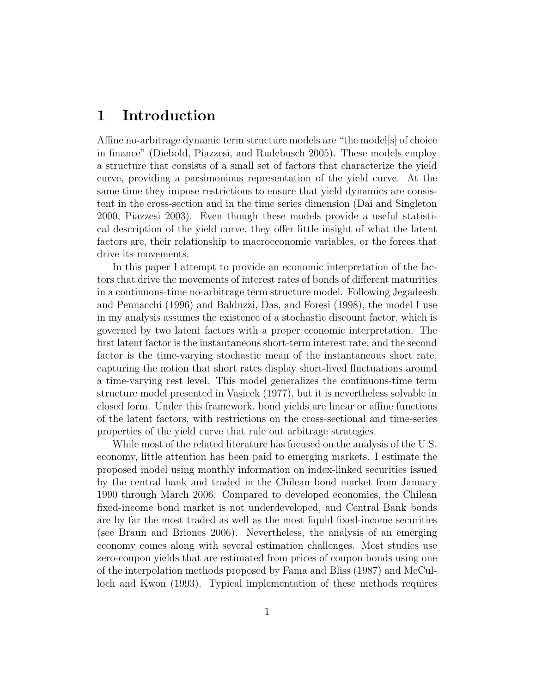### 1 Introduction

Affine no-arbitrage dynamic term structure models are "the models of choice" in finance" (Diebold, Piazzesi, and Rudebusch 2005). These models employ a structure that consists of a small set of factors that characterize the yield curve, providing a parsimonious representation of the yield curve. At the same time they impose restrictions to ensure that yield dynamics are consistent in the cross-section and in the time series dimension (Dai and Singleton 2000, Piazzesi 2003). Even though these models provide a useful statistical description of the yield curve, they offer little insight of what the latent factors are, their relationship to macroeconomic variables, or the forces that drive its movements.

In this paper I attempt to provide an economic interpretation of the factors that drive the movements of interest rates of bonds of different maturities in a continuous-time no-arbitrage term structure model. Following Jegadeesh and Pennacchi (1996) and Balduzzi, Das, and Foresi (1998), the model I use in my analysis assumes the existence of a stochastic discount factor, which is governed by two latent factors with a proper economic interpretation. The first latent factor is the instantaneous short-term interest rate, and the second factor is the time-varying stochastic mean of the instantaneous short rate, capturing the notion that short rates display short-lived fluctuations around a time-varying rest level. This model generalizes the continuous-time term structure model presented in Vasicek (1977), but it is nevertheless solvable in closed form. Under this framework, bond yields are linear or affine functions of the latent factors, with restrictions on the cross-sectional and time-series properties of the yield curve that rule out arbitrage strategies.

While most of the related literature has focused on the analysis of the U.S. economy, little attention has been paid to emerging markets. I estimate the proposed model using monthly information on index-linked securities issued by the central bank and traded in the Chilean bond market from January 1990 through March 2006. Compared to developed economies, the Chilean fixed-income bond market is not underdeveloped, and Central Bank bonds are by far the most traded as well as the most liquid fixed-income securities (see Braun and Briones 2006). Nevertheless, the analysis of an emerging economy comes along with several estimation challenges. Most studies use zero-coupon yields that are estimated from prices of coupon bonds using one of the interpolation methods proposed by Fama and Bliss (1987) and McCulloch and Kwon (1993). Typical implementation of these methods requires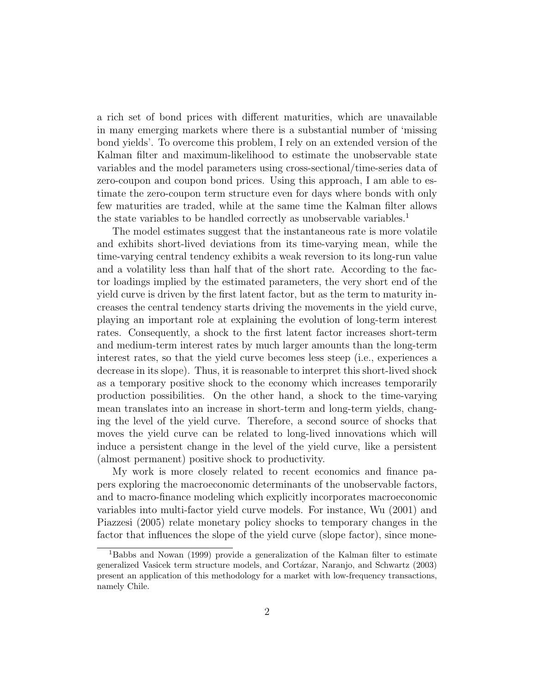a rich set of bond prices with different maturities, which are unavailable in many emerging markets where there is a substantial number of 'missing bond yields'. To overcome this problem, I rely on an extended version of the Kalman filter and maximum-likelihood to estimate the unobservable state variables and the model parameters using cross-sectional/time-series data of zero-coupon and coupon bond prices. Using this approach, I am able to estimate the zero-coupon term structure even for days where bonds with only few maturities are traded, while at the same time the Kalman filter allows the state variables to be handled correctly as unobservable variables.<sup>1</sup>

The model estimates suggest that the instantaneous rate is more volatile and exhibits short-lived deviations from its time-varying mean, while the time-varying central tendency exhibits a weak reversion to its long-run value and a volatility less than half that of the short rate. According to the factor loadings implied by the estimated parameters, the very short end of the yield curve is driven by the first latent factor, but as the term to maturity increases the central tendency starts driving the movements in the yield curve, playing an important role at explaining the evolution of long-term interest rates. Consequently, a shock to the first latent factor increases short-term and medium-term interest rates by much larger amounts than the long-term interest rates, so that the yield curve becomes less steep (i.e., experiences a decrease in its slope). Thus, it is reasonable to interpret this short-lived shock as a temporary positive shock to the economy which increases temporarily production possibilities. On the other hand, a shock to the time-varying mean translates into an increase in short-term and long-term yields, changing the level of the yield curve. Therefore, a second source of shocks that moves the yield curve can be related to long-lived innovations which will induce a persistent change in the level of the yield curve, like a persistent (almost permanent) positive shock to productivity.

My work is more closely related to recent economics and finance papers exploring the macroeconomic determinants of the unobservable factors, and to macro-finance modeling which explicitly incorporates macroeconomic variables into multi-factor yield curve models. For instance, Wu (2001) and Piazzesi (2005) relate monetary policy shocks to temporary changes in the factor that influences the slope of the yield curve (slope factor), since mone-

<sup>1</sup>Babbs and Nowan (1999) provide a generalization of the Kalman filter to estimate generalized Vasicek term structure models, and Cortázar, Naranjo, and Schwartz (2003) present an application of this methodology for a market with low-frequency transactions, namely Chile.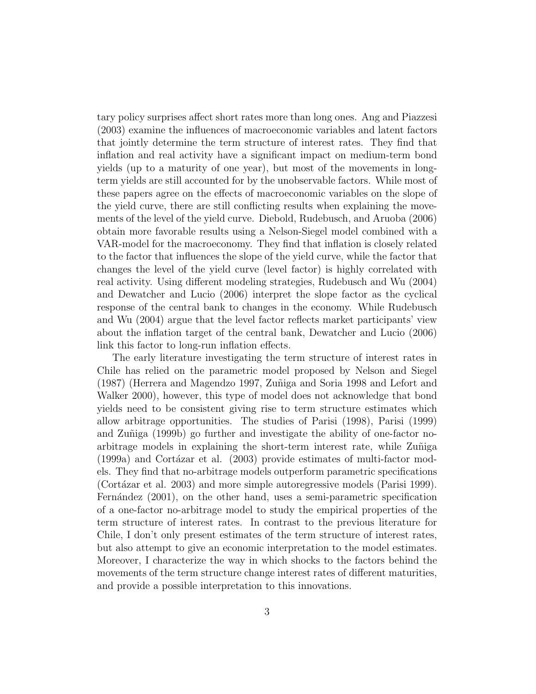tary policy surprises affect short rates more than long ones. Ang and Piazzesi (2003) examine the influences of macroeconomic variables and latent factors that jointly determine the term structure of interest rates. They find that inflation and real activity have a significant impact on medium-term bond yields (up to a maturity of one year), but most of the movements in longterm yields are still accounted for by the unobservable factors. While most of these papers agree on the effects of macroeconomic variables on the slope of the yield curve, there are still conflicting results when explaining the movements of the level of the yield curve. Diebold, Rudebusch, and Aruoba (2006) obtain more favorable results using a Nelson-Siegel model combined with a VAR-model for the macroeconomy. They find that inflation is closely related to the factor that influences the slope of the yield curve, while the factor that changes the level of the yield curve (level factor) is highly correlated with real activity. Using different modeling strategies, Rudebusch and Wu (2004) and Dewatcher and Lucio (2006) interpret the slope factor as the cyclical response of the central bank to changes in the economy. While Rudebusch and Wu (2004) argue that the level factor reflects market participants' view about the inflation target of the central bank, Dewatcher and Lucio (2006) link this factor to long-run inflation effects.

The early literature investigating the term structure of interest rates in Chile has relied on the parametric model proposed by Nelson and Siegel (1987) (Herrera and Magendzo 1997, Zuñiga and Soria 1998 and Lefort and Walker 2000), however, this type of model does not acknowledge that bond yields need to be consistent giving rise to term structure estimates which allow arbitrage opportunities. The studies of Parisi (1998), Parisi (1999) and Zuñiga (1999b) go further and investigate the ability of one-factor noarbitrage models in explaining the short-term interest rate, while Zuñiga  $(1999a)$  and Cortázar et al.  $(2003)$  provide estimates of multi-factor models. They find that no-arbitrage models outperform parametric specifications (Cortázar et al. 2003) and more simple autoregressive models (Parisi 1999). Fernández (2001), on the other hand, uses a semi-parametric specification of a one-factor no-arbitrage model to study the empirical properties of the term structure of interest rates. In contrast to the previous literature for Chile, I don't only present estimates of the term structure of interest rates, but also attempt to give an economic interpretation to the model estimates. Moreover, I characterize the way in which shocks to the factors behind the movements of the term structure change interest rates of different maturities, and provide a possible interpretation to this innovations.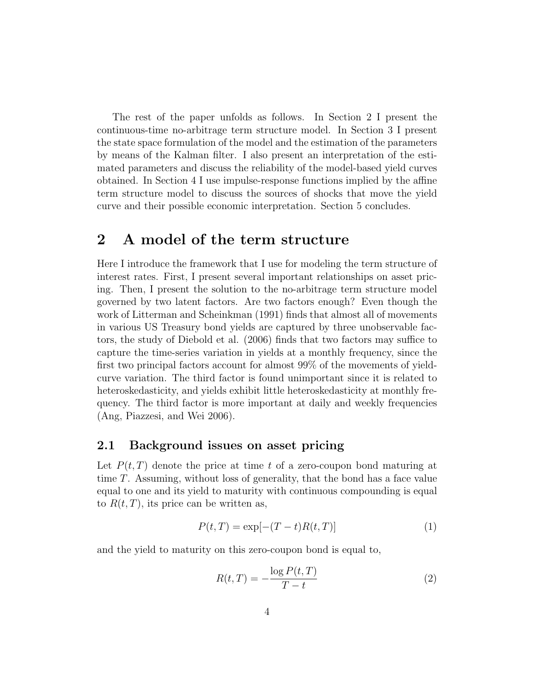The rest of the paper unfolds as follows. In Section 2 I present the continuous-time no-arbitrage term structure model. In Section 3 I present the state space formulation of the model and the estimation of the parameters by means of the Kalman filter. I also present an interpretation of the estimated parameters and discuss the reliability of the model-based yield curves obtained. In Section 4 I use impulse-response functions implied by the affine term structure model to discuss the sources of shocks that move the yield curve and their possible economic interpretation. Section 5 concludes.

### 2 A model of the term structure

Here I introduce the framework that I use for modeling the term structure of interest rates. First, I present several important relationships on asset pricing. Then, I present the solution to the no-arbitrage term structure model governed by two latent factors. Are two factors enough? Even though the work of Litterman and Scheinkman (1991) finds that almost all of movements in various US Treasury bond yields are captured by three unobservable factors, the study of Diebold et al. (2006) finds that two factors may suffice to capture the time-series variation in yields at a monthly frequency, since the first two principal factors account for almost 99% of the movements of yieldcurve variation. The third factor is found unimportant since it is related to heteroskedasticity, and yields exhibit little heteroskedasticity at monthly frequency. The third factor is more important at daily and weekly frequencies (Ang, Piazzesi, and Wei 2006).

#### 2.1 Background issues on asset pricing

Let  $P(t,T)$  denote the price at time t of a zero-coupon bond maturing at time T. Assuming, without loss of generality, that the bond has a face value equal to one and its yield to maturity with continuous compounding is equal to  $R(t, T)$ , its price can be written as,

$$
P(t,T) = \exp[-(T-t)R(t,T)]
$$
 (1)

and the yield to maturity on this zero-coupon bond is equal to,

$$
R(t,T) = -\frac{\log P(t,T)}{T-t}
$$
\n(2)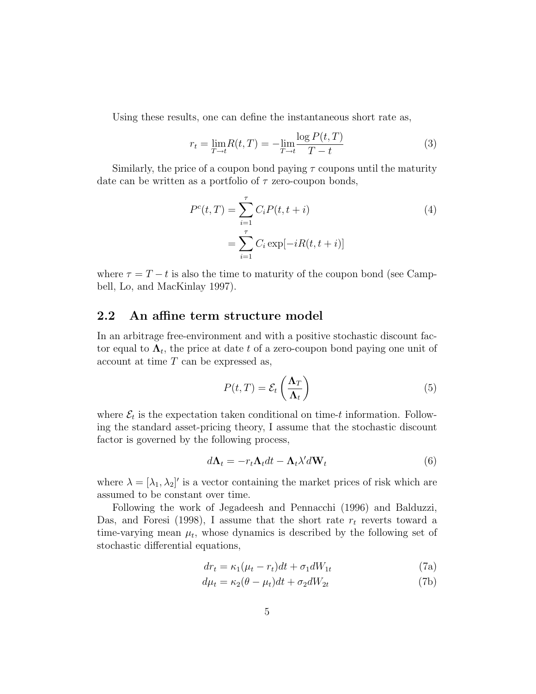Using these results, one can define the instantaneous short rate as,

$$
r_{t} = \lim_{T \to t} R(t, T) = -\lim_{T \to t} \frac{\log P(t, T)}{T - t}
$$
(3)

Similarly, the price of a coupon bond paying  $\tau$  coupons until the maturity date can be written as a portfolio of  $\tau$  zero-coupon bonds,

$$
P^{c}(t,T) = \sum_{i=1}^{\tau} C_{i} P(t, t + i)
$$
  
= 
$$
\sum_{i=1}^{\tau} C_{i} \exp[-iR(t, t + i)]
$$
 (4)

where  $\tau = T - t$  is also the time to maturity of the coupon bond (see Campbell, Lo, and MacKinlay 1997).

#### 2.2 An affine term structure model

In an arbitrage free-environment and with a positive stochastic discount factor equal to  $\Lambda_t$ , the price at date t of a zero-coupon bond paying one unit of  $account at time T can be expressed as,$ 

$$
P(t,T) = \mathcal{E}_t\left(\frac{\Lambda_T}{\Lambda_t}\right) \tag{5}
$$

where  $\mathcal{E}_t$  is the expectation taken conditional on time-t information. Following the standard asset-pricing theory, I assume that the stochastic discount factor is governed by the following process,

$$
d\Lambda_t = -r_t \Lambda_t dt - \Lambda_t \lambda' dW_t
$$
\n(6)

where  $\lambda = [\lambda_1, \lambda_2]'$  is a vector containing the market prices of risk which are assumed to be constant over time.

Following the work of Jegadeesh and Pennacchi (1996) and Balduzzi, Das, and Foresi (1998), I assume that the short rate  $r_t$  reverts toward a time-varying mean  $\mu_t$ , whose dynamics is described by the following set of stochastic differential equations,

$$
dr_t = \kappa_1(\mu_t - r_t)dt + \sigma_1 dW_{1t}
$$
\n(7a)

$$
d\mu_t = \kappa_2(\theta - \mu_t)dt + \sigma_2 dW_{2t}
$$
\n(7b)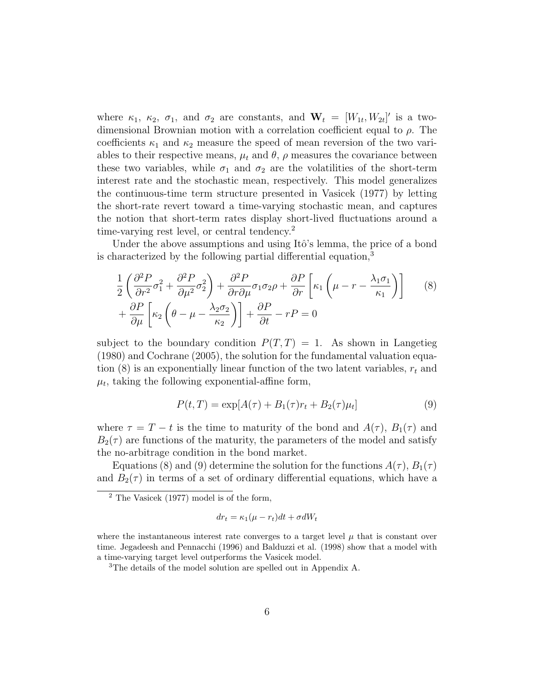where  $\kappa_1$ ,  $\kappa_2$ ,  $\sigma_1$ , and  $\sigma_2$  are constants, and  $\mathbf{W}_t = [W_{1t}, W_{2t}]'$  is a twodimensional Brownian motion with a correlation coefficient equal to  $\rho$ . The coefficients  $\kappa_1$  and  $\kappa_2$  measure the speed of mean reversion of the two variables to their respective means,  $\mu_t$  and  $\theta$ ,  $\rho$  measures the covariance between these two variables, while  $\sigma_1$  and  $\sigma_2$  are the volatilities of the short-term interest rate and the stochastic mean, respectively. This model generalizes the continuous-time term structure presented in Vasicek (1977) by letting the short-rate revert toward a time-varying stochastic mean, and captures the notion that short-term rates display short-lived fluctuations around a time-varying rest level, or central tendency.<sup>2</sup>

Under the above assumptions and using Itô's lemma, the price of a bond is characterized by the following partial differential equation,<sup>3</sup>

$$
\frac{1}{2} \left( \frac{\partial^2 P}{\partial r^2} \sigma_1^2 + \frac{\partial^2 P}{\partial \mu^2} \sigma_2^2 \right) + \frac{\partial^2 P}{\partial r \partial \mu} \sigma_1 \sigma_2 \rho + \frac{\partial P}{\partial r} \left[ \kappa_1 \left( \mu - r - \frac{\lambda_1 \sigma_1}{\kappa_1} \right) \right] \tag{8}
$$
\n
$$
+ \frac{\partial P}{\partial \mu} \left[ \kappa_2 \left( \theta - \mu - \frac{\lambda_2 \sigma_2}{\kappa_2} \right) \right] + \frac{\partial P}{\partial t} - rP = 0
$$

subject to the boundary condition  $P(T,T) = 1$ . As shown in Langetieg (1980) and Cochrane (2005), the solution for the fundamental valuation equation  $(8)$  is an exponentially linear function of the two latent variables,  $r_t$  and  $\mu_t$ , taking the following exponential-affine form,

$$
P(t,T) = \exp[A(\tau) + B_1(\tau)r_t + B_2(\tau)\mu_t]
$$
\n(9)

where  $\tau = T - t$  is the time to maturity of the bond and  $A(\tau)$ ,  $B_1(\tau)$  and  $B_2(\tau)$  are functions of the maturity, the parameters of the model and satisfy the no-arbitrage condition in the bond market.

Equations (8) and (9) determine the solution for the functions  $A(\tau)$ ,  $B_1(\tau)$ and  $B_2(\tau)$  in terms of a set of ordinary differential equations, which have a

$$
dr_t = \kappa_1(\mu - r_t)dt + \sigma dW_t
$$

 $2$  The Vasicek (1977) model is of the form,

where the instantaneous interest rate converges to a target level  $\mu$  that is constant over time. Jegadeesh and Pennacchi (1996) and Balduzzi et al. (1998) show that a model with a time-varying target level outperforms the Vasicek model.

<sup>&</sup>lt;sup>3</sup>The details of the model solution are spelled out in Appendix A.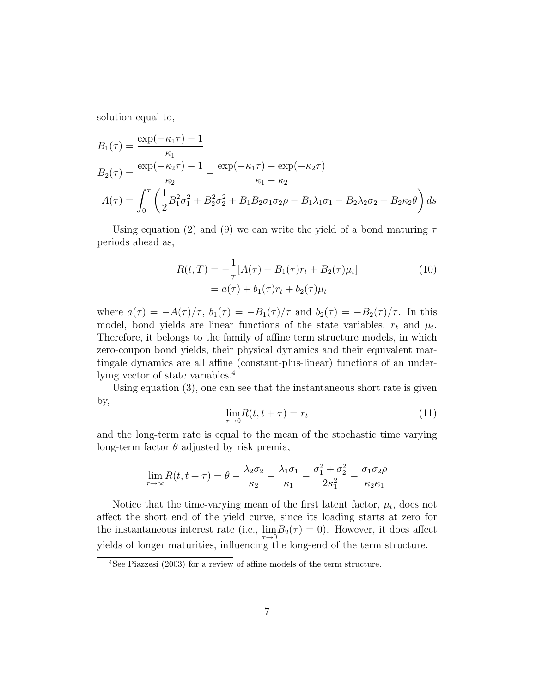solution equal to,

$$
B_1(\tau) = \frac{\exp(-\kappa_1 \tau) - 1}{\kappa_1}
$$
  
\n
$$
B_2(\tau) = \frac{\exp(-\kappa_2 \tau) - 1}{\kappa_2} - \frac{\exp(-\kappa_1 \tau) - \exp(-\kappa_2 \tau)}{\kappa_1 - \kappa_2}
$$
  
\n
$$
A(\tau) = \int_0^{\tau} \left(\frac{1}{2} B_1^2 \sigma_1^2 + B_2^2 \sigma_2^2 + B_1 B_2 \sigma_1 \sigma_2 \rho - B_1 \lambda_1 \sigma_1 - B_2 \lambda_2 \sigma_2 + B_2 \kappa_2 \theta\right) ds
$$

Using equation (2) and (9) we can write the yield of a bond maturing  $\tau$ periods ahead as,

$$
R(t,T) = -\frac{1}{\tau} [A(\tau) + B_1(\tau) r_t + B_2(\tau) \mu_t]
$$
  
=  $a(\tau) + b_1(\tau) r_t + b_2(\tau) \mu_t$  (10)

where  $a(\tau) = -A(\tau)/\tau$ ,  $b_1(\tau) = -B_1(\tau)/\tau$  and  $b_2(\tau) = -B_2(\tau)/\tau$ . In this model, bond yields are linear functions of the state variables,  $r_t$  and  $\mu_t$ . Therefore, it belongs to the family of affine term structure models, in which zero-coupon bond yields, their physical dynamics and their equivalent martingale dynamics are all affine (constant-plus-linear) functions of an underlying vector of state variables.<sup>4</sup>

Using equation (3), one can see that the instantaneous short rate is given by,

$$
\lim_{\tau \to 0} R(t, t + \tau) = r_t \tag{11}
$$

and the long-term rate is equal to the mean of the stochastic time varying long-term factor  $\theta$  adjusted by risk premia,

$$
\lim_{\tau \to \infty} R(t, t + \tau) = \theta - \frac{\lambda_2 \sigma_2}{\kappa_2} - \frac{\lambda_1 \sigma_1}{\kappa_1} - \frac{\sigma_1^2 + \sigma_2^2}{2\kappa_1^2} - \frac{\sigma_1 \sigma_2 \rho}{\kappa_2 \kappa_1}
$$

Notice that the time-varying mean of the first latent factor,  $\mu_t$ , does not affect the short end of the yield curve, since its loading starts at zero for the instantaneous interest rate (i.e.,  $\lim_{\tau \to 0} B_2(\tau) = 0$ ). However, it does affect yields of longer maturities, influencing the long-end of the term structure.

<sup>4</sup>See Piazzesi (2003) for a review of affine models of the term structure.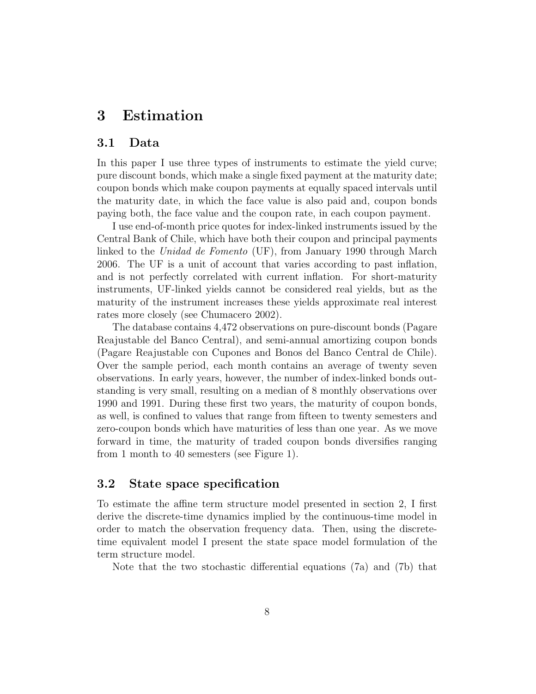### 3 Estimation

#### 3.1 Data

In this paper I use three types of instruments to estimate the yield curve; pure discount bonds, which make a single fixed payment at the maturity date; coupon bonds which make coupon payments at equally spaced intervals until the maturity date, in which the face value is also paid and, coupon bonds paying both, the face value and the coupon rate, in each coupon payment.

I use end-of-month price quotes for index-linked instruments issued by the Central Bank of Chile, which have both their coupon and principal payments linked to the Unidad de Fomento (UF), from January 1990 through March 2006. The UF is a unit of account that varies according to past inflation, and is not perfectly correlated with current inflation. For short-maturity instruments, UF-linked yields cannot be considered real yields, but as the maturity of the instrument increases these yields approximate real interest rates more closely (see Chumacero 2002).

The database contains 4,472 observations on pure-discount bonds (Pagare Reajustable del Banco Central), and semi-annual amortizing coupon bonds (Pagare Reajustable con Cupones and Bonos del Banco Central de Chile). Over the sample period, each month contains an average of twenty seven observations. In early years, however, the number of index-linked bonds outstanding is very small, resulting on a median of 8 monthly observations over 1990 and 1991. During these first two years, the maturity of coupon bonds, as well, is confined to values that range from fifteen to twenty semesters and zero-coupon bonds which have maturities of less than one year. As we move forward in time, the maturity of traded coupon bonds diversifies ranging from 1 month to 40 semesters (see Figure 1).

#### 3.2 State space specification

To estimate the affine term structure model presented in section 2, I first derive the discrete-time dynamics implied by the continuous-time model in order to match the observation frequency data. Then, using the discretetime equivalent model I present the state space model formulation of the term structure model.

Note that the two stochastic differential equations (7a) and (7b) that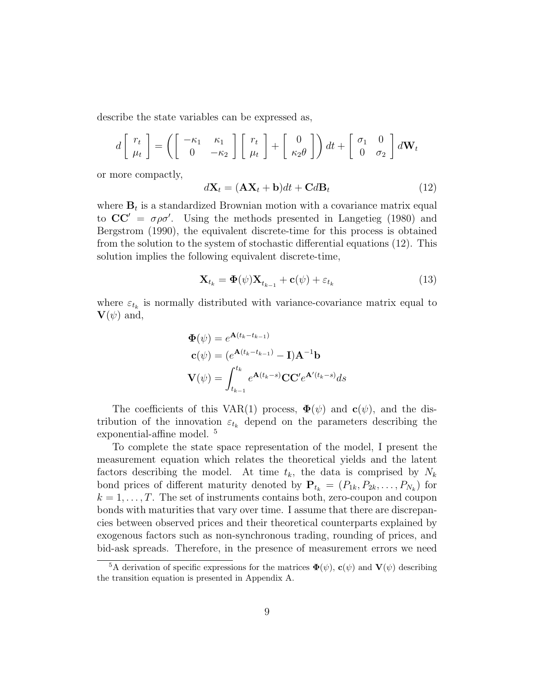describe the state variables can be expressed as,

$$
d\begin{bmatrix} r_t \\ \mu_t \end{bmatrix} = \left( \begin{bmatrix} -\kappa_1 & \kappa_1 \\ 0 & -\kappa_2 \end{bmatrix} \begin{bmatrix} r_t \\ \mu_t \end{bmatrix} + \begin{bmatrix} 0 \\ \kappa_2 \theta \end{bmatrix} \right) dt + \begin{bmatrix} \sigma_1 & 0 \\ 0 & \sigma_2 \end{bmatrix} d\mathbf{W}_t
$$

or more compactly,

$$
d\mathbf{X}_t = (\mathbf{A}\mathbf{X}_t + \mathbf{b})dt + \mathbf{C}d\mathbf{B}_t
$$
\n(12)

where  $\mathbf{B}_t$  is a standardized Brownian motion with a covariance matrix equal to  $CC' = \sigma \rho \sigma'$ . Using the methods presented in Langetieg (1980) and Bergstrom (1990), the equivalent discrete-time for this process is obtained from the solution to the system of stochastic differential equations (12). This solution implies the following equivalent discrete-time,

$$
\mathbf{X}_{t_k} = \mathbf{\Phi}(\psi) \mathbf{X}_{t_{k-1}} + \mathbf{c}(\psi) + \varepsilon_{t_k} \tag{13}
$$

where  $\varepsilon_{t_k}$  is normally distributed with variance-covariance matrix equal to  $\mathbf{V}(\psi)$  and,

$$
\Phi(\psi) = e^{\mathbf{A}(t_k - t_{k-1})}
$$

$$
\mathbf{c}(\psi) = (e^{\mathbf{A}(t_k - t_{k-1})} - \mathbf{I})\mathbf{A}^{-1}\mathbf{b}
$$

$$
\mathbf{V}(\psi) = \int_{t_{k-1}}^{t_k} e^{\mathbf{A}(t_k - s)} \mathbf{C} \mathbf{C}' e^{\mathbf{A}'(t_k - s)} ds
$$

The coefficients of this VAR(1) process,  $\Phi(\psi)$  and  $\mathbf{c}(\psi)$ , and the distribution of the innovation  $\varepsilon_{t_k}$  depend on the parameters describing the exponential-affine model. <sup>5</sup>

To complete the state space representation of the model, I present the measurement equation which relates the theoretical yields and the latent factors describing the model. At time  $t_k$ , the data is comprised by  $N_k$ bond prices of different maturity denoted by  $P_{t_k} = (P_{1k}, P_{2k}, \ldots, P_{N_k})$  for  $k = 1, \ldots, T$ . The set of instruments contains both, zero-coupon and coupon bonds with maturities that vary over time. I assume that there are discrepancies between observed prices and their theoretical counterparts explained by exogenous factors such as non-synchronous trading, rounding of prices, and bid-ask spreads. Therefore, in the presence of measurement errors we need

<sup>&</sup>lt;sup>5</sup>A derivation of specific expressions for the matrices  $\mathbf{\Phi}(\psi)$ ,  $\mathbf{c}(\psi)$  and  $\mathbf{V}(\psi)$  describing the transition equation is presented in Appendix A.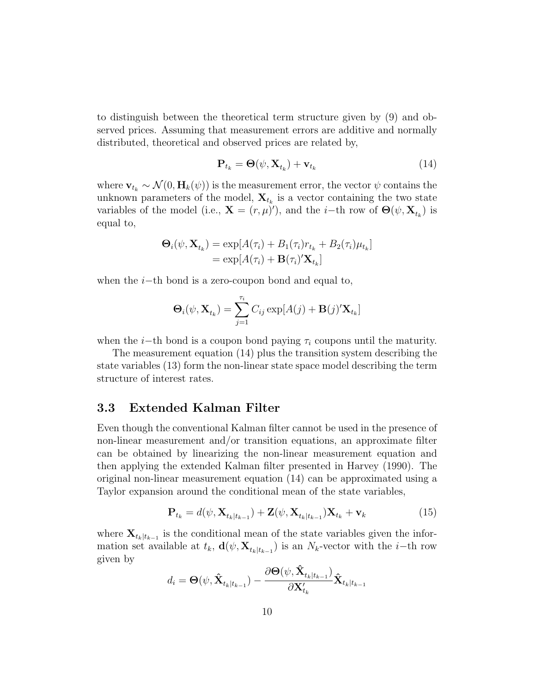to distinguish between the theoretical term structure given by (9) and observed prices. Assuming that measurement errors are additive and normally distributed, theoretical and observed prices are related by,

$$
\mathbf{P}_{t_k} = \mathbf{\Theta}(\psi, \mathbf{X}_{t_k}) + \mathbf{v}_{t_k} \tag{14}
$$

where  $\mathbf{v}_{t_k} \sim \mathcal{N}(0, \mathbf{H}_k(\psi))$  is the measurement error, the vector  $\psi$  contains the unknown parameters of the model,  $\mathbf{X}_{t_k}$  is a vector containing the two state variables of the model (i.e.,  $\mathbf{X} = (r, \mu)'$ ), and the *i*-th row of  $\Theta(\psi, \mathbf{X}_{t_k})$  is equal to,

$$
\mathbf{\Theta}_{i}(\psi, \mathbf{X}_{t_k}) = \exp[A(\tau_i) + B_1(\tau_i)r_{t_k} + B_2(\tau_i)\mu_{t_k}]
$$
  
= 
$$
\exp[A(\tau_i) + \mathbf{B}(\tau_i)'\mathbf{X}_{t_k}]
$$

when the  $i$ −th bond is a zero-coupon bond and equal to,

$$
\mathbf{\Theta}_i(\psi, \mathbf{X}_{t_k}) = \sum_{j=1}^{\tau_i} C_{ij} \exp[A(j) + \mathbf{B}(j)' \mathbf{X}_{t_k}]
$$

when the *i*−th bond is a coupon bond paying  $\tau_i$  coupons until the maturity.

The measurement equation (14) plus the transition system describing the state variables (13) form the non-linear state space model describing the term structure of interest rates.

#### 3.3 Extended Kalman Filter

Even though the conventional Kalman filter cannot be used in the presence of non-linear measurement and/or transition equations, an approximate filter can be obtained by linearizing the non-linear measurement equation and then applying the extended Kalman filter presented in Harvey (1990). The original non-linear measurement equation (14) can be approximated using a Taylor expansion around the conditional mean of the state variables,

$$
\mathbf{P}_{t_k} = d(\psi, \mathbf{X}_{t_k|t_{k-1}}) + \mathbf{Z}(\psi, \mathbf{X}_{t_k|t_{k-1}}) \mathbf{X}_{t_k} + \mathbf{v}_k
$$
\n(15)

where  $\mathbf{X}_{t_k|t_{k-1}}$  is the conditional mean of the state variables given the information set available at  $t_k$ ,  $\mathbf{d}(\psi, \mathbf{X}_{t_k|t_{k-1}})$  is an  $N_k$ -vector with the *i*-th row given by

$$
d_i = \boldsymbol{\Theta}(\boldsymbol{\psi},\hat{\mathbf{X}}_{t_k|t_{k-1}}) - \frac{\partial \boldsymbol{\Theta}(\boldsymbol{\psi},\hat{\mathbf{X}}_{t_k|t_{k-1}})}{\partial \mathbf{X}_{t_k}'}\hat{\mathbf{X}}_{t_k|t_{k-1}}
$$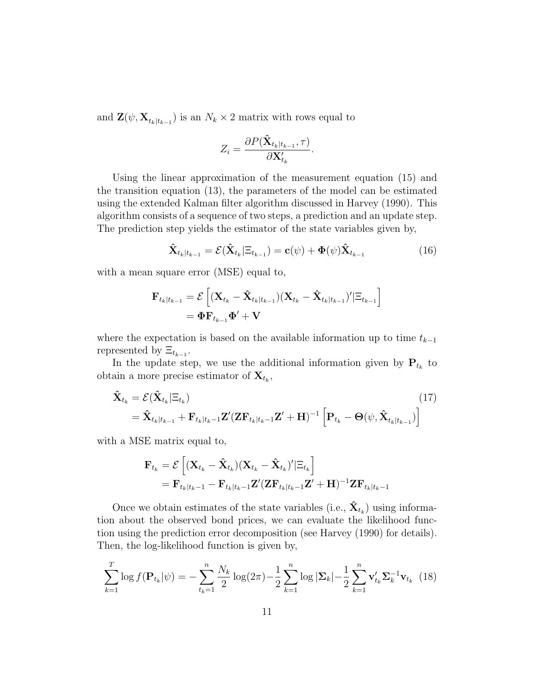and  $\mathbf{Z}(\psi, \mathbf{X}_{t_k|t_{k-1}})$  is an  $N_k \times 2$  matrix with rows equal to

$$
Z_i = \frac{\partial P(\hat{\mathbf{X}}_{t_k|t_{k-1}}, \tau)}{\partial \mathbf{X}'_{t_k}}.
$$

Using the linear approximation of the measurement equation (15) and the transition equation (13), the parameters of the model can be estimated using the extended Kalman filter algorithm discussed in Harvey (1990). This algorithm consists of a sequence of two steps, a prediction and an update step. The prediction step yields the estimator of the state variables given by,

$$
\hat{\mathbf{X}}_{t_k|t_{k-1}} = \mathcal{E}(\hat{\mathbf{X}}_{t_k}|\Xi_{t_{k-1}}) = \mathbf{c}(\psi) + \mathbf{\Phi}(\psi)\hat{\mathbf{X}}_{t_{k-1}}
$$
(16)

with a mean square error (MSE) equal to,

$$
\begin{aligned} \mathbf{F}_{t_k|t_{k-1}} &= \mathcal{E}\left[ (\mathbf{X}_{t_k} - \hat{\mathbf{X}}_{t_k|t_{k-1}}) (\mathbf{X}_{t_k} - \hat{\mathbf{X}}_{t_k|t_{k-1}})' | \Xi_{t_{k-1}} \right] \\ &= \mathbf{\Phi} \mathbf{F}_{t_{k-1}} \mathbf{\Phi}' + \mathbf{V} \end{aligned}
$$

where the expectation is based on the available information up to time  $t_{k-1}$ represented by  $\Xi_{t_{k-1}}$ .

In the update step, we use the additional information given by  $P_{t_k}$  to obtain a more precise estimator of  $\mathbf{X}_{t_k}$ ,

$$
\hat{\mathbf{X}}_{t_k} = \mathcal{E}(\hat{\mathbf{X}}_{t_k} | \Xi_{t_k})
$$
\n
$$
= \hat{\mathbf{X}}_{t_k|t_{k-1}} + \mathbf{F}_{t_k|t_{k-1}} \mathbf{Z}' (\mathbf{Z} \mathbf{F}_{t_k|t_{k-1}} \mathbf{Z}' + \mathbf{H})^{-1} \left[ \mathbf{P}_{t_k} - \Theta(\psi, \hat{\mathbf{X}}_{t_k|t_{k-1}}) \right]
$$
\n(17)

with a MSE matrix equal to,

$$
\mathbf{F}_{t_k} = \mathcal{E}\left[ (\mathbf{X}_{t_k} - \hat{\mathbf{X}}_{t_k})(\mathbf{X}_{t_k} - \hat{\mathbf{X}}_{t_k})' | \Xi_{t_k} \right]
$$
  
=  $\mathbf{F}_{t_k|t_k-1} - \mathbf{F}_{t_k|t_k-1} \mathbf{Z}' (\mathbf{Z} \mathbf{F}_{t_k|t_k-1} \mathbf{Z}' + \mathbf{H})^{-1} \mathbf{Z} \mathbf{F}_{t_k|t_k-1}$ 

Once we obtain estimates of the state variables (i.e.,  $\hat{\mathbf{X}}_{t_k}$ ) using information about the observed bond prices, we can evaluate the likelihood function using the prediction error decomposition (see Harvey (1990) for details). Then, the log-likelihood function is given by,

$$
\sum_{k=1}^{T} \log f(\mathbf{P}_{t_k}|\psi) = -\sum_{t_k=1}^{n} \frac{N_k}{2} \log(2\pi) - \frac{1}{2} \sum_{k=1}^{n} \log |\mathbf{\Sigma}_k| - \frac{1}{2} \sum_{k=1}^{n} \mathbf{v}'_{t_k} \mathbf{\Sigma}_k^{-1} \mathbf{v}_{t_k}
$$
(18)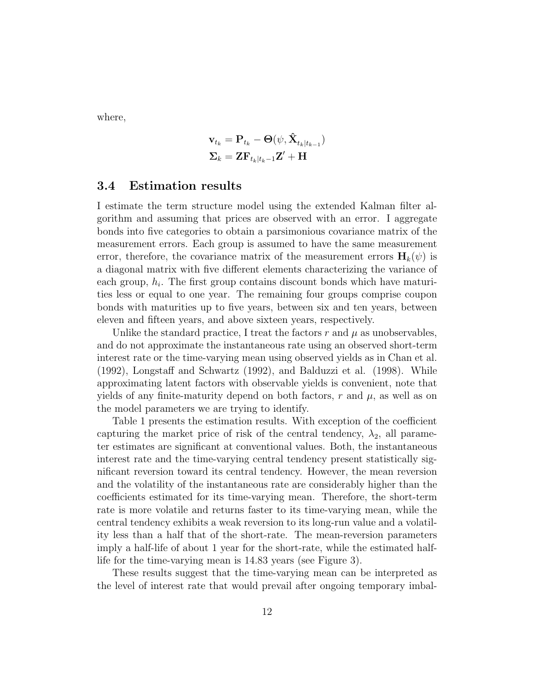where,

$$
\mathbf{v}_{t_k} = \mathbf{P}_{t_k} - \mathbf{\Theta}(\psi, \hat{\mathbf{X}}_{t_k|t_{k-1}})
$$

$$
\Sigma_k = \mathbf{ZF}_{t_k|t_k-1}\mathbf{Z}' + \mathbf{H}
$$

#### 3.4 Estimation results

I estimate the term structure model using the extended Kalman filter algorithm and assuming that prices are observed with an error. I aggregate bonds into five categories to obtain a parsimonious covariance matrix of the measurement errors. Each group is assumed to have the same measurement error, therefore, the covariance matrix of the measurement errors  $\mathbf{H}_k(\psi)$  is a diagonal matrix with five different elements characterizing the variance of each group,  $h_i$ . The first group contains discount bonds which have maturities less or equal to one year. The remaining four groups comprise coupon bonds with maturities up to five years, between six and ten years, between eleven and fifteen years, and above sixteen years, respectively.

Unlike the standard practice, I treat the factors  $r$  and  $\mu$  as unobservables, and do not approximate the instantaneous rate using an observed short-term interest rate or the time-varying mean using observed yields as in Chan et al. (1992), Longstaff and Schwartz (1992), and Balduzzi et al. (1998). While approximating latent factors with observable yields is convenient, note that yields of any finite-maturity depend on both factors,  $r$  and  $\mu$ , as well as on the model parameters we are trying to identify.

Table 1 presents the estimation results. With exception of the coefficient capturing the market price of risk of the central tendency,  $\lambda_2$ , all parameter estimates are significant at conventional values. Both, the instantaneous interest rate and the time-varying central tendency present statistically significant reversion toward its central tendency. However, the mean reversion and the volatility of the instantaneous rate are considerably higher than the coefficients estimated for its time-varying mean. Therefore, the short-term rate is more volatile and returns faster to its time-varying mean, while the central tendency exhibits a weak reversion to its long-run value and a volatility less than a half that of the short-rate. The mean-reversion parameters imply a half-life of about 1 year for the short-rate, while the estimated halflife for the time-varying mean is 14.83 years (see Figure 3).

These results suggest that the time-varying mean can be interpreted as the level of interest rate that would prevail after ongoing temporary imbal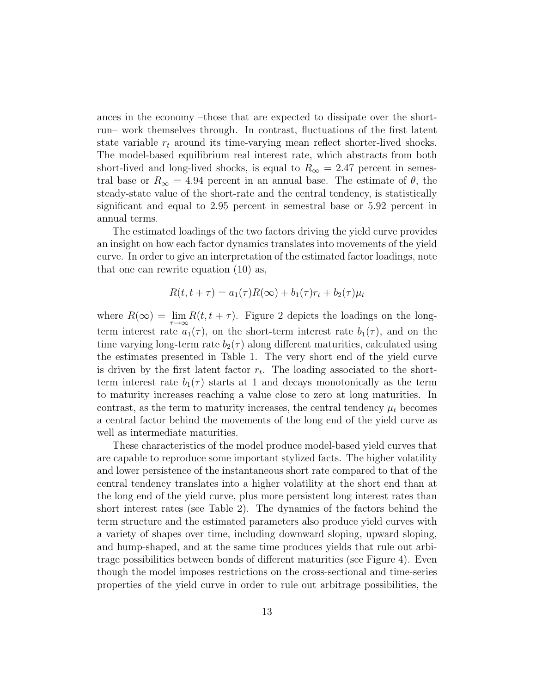ances in the economy –those that are expected to dissipate over the shortrun– work themselves through. In contrast, fluctuations of the first latent state variable  $r_t$  around its time-varying mean reflect shorter-lived shocks. The model-based equilibrium real interest rate, which abstracts from both short-lived and long-lived shocks, is equal to  $R_{\infty} = 2.47$  percent in semestral base or  $R_{\infty} = 4.94$  percent in an annual base. The estimate of  $\theta$ , the steady-state value of the short-rate and the central tendency, is statistically significant and equal to 2.95 percent in semestral base or 5.92 percent in annual terms.

The estimated loadings of the two factors driving the yield curve provides an insight on how each factor dynamics translates into movements of the yield curve. In order to give an interpretation of the estimated factor loadings, note that one can rewrite equation (10) as,

$$
R(t, t + \tau) = a_1(\tau)R(\infty) + b_1(\tau)r_t + b_2(\tau)\mu_t
$$

where  $R(\infty) = \lim_{\tau \to \infty} R(t, t + \tau)$ . Figure 2 depicts the loadings on the longterm interest rate  $a_1(\tau)$ , on the short-term interest rate  $b_1(\tau)$ , and on the time varying long-term rate  $b_2(\tau)$  along different maturities, calculated using the estimates presented in Table 1. The very short end of the yield curve is driven by the first latent factor  $r_t$ . The loading associated to the shortterm interest rate  $b_1(\tau)$  starts at 1 and decays monotonically as the term to maturity increases reaching a value close to zero at long maturities. In contrast, as the term to maturity increases, the central tendency  $\mu_t$  becomes a central factor behind the movements of the long end of the yield curve as well as intermediate maturities.

These characteristics of the model produce model-based yield curves that are capable to reproduce some important stylized facts. The higher volatility and lower persistence of the instantaneous short rate compared to that of the central tendency translates into a higher volatility at the short end than at the long end of the yield curve, plus more persistent long interest rates than short interest rates (see Table 2). The dynamics of the factors behind the term structure and the estimated parameters also produce yield curves with a variety of shapes over time, including downward sloping, upward sloping, and hump-shaped, and at the same time produces yields that rule out arbitrage possibilities between bonds of different maturities (see Figure 4). Even though the model imposes restrictions on the cross-sectional and time-series properties of the yield curve in order to rule out arbitrage possibilities, the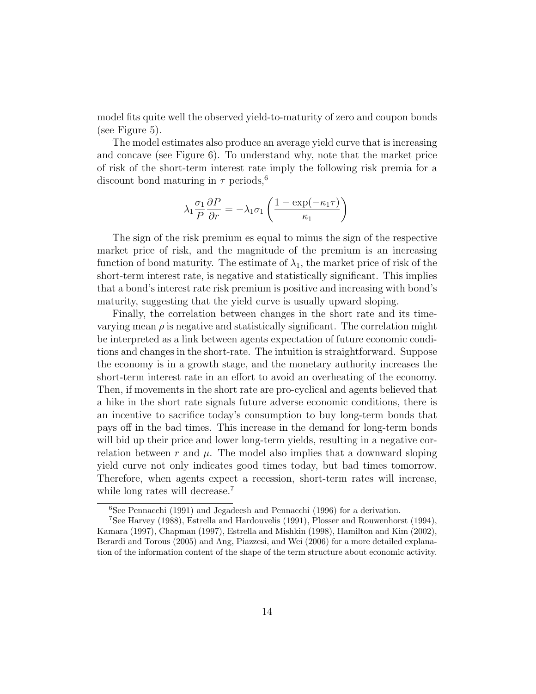model fits quite well the observed yield-to-maturity of zero and coupon bonds (see Figure 5).

The model estimates also produce an average yield curve that is increasing and concave (see Figure 6). To understand why, note that the market price of risk of the short-term interest rate imply the following risk premia for a discount bond maturing in  $\tau$  periods,<sup>6</sup>

$$
\lambda_1 \frac{\sigma_1}{P} \frac{\partial P}{\partial r} = -\lambda_1 \sigma_1 \left( \frac{1 - \exp(-\kappa_1 \tau)}{\kappa_1} \right)
$$

The sign of the risk premium es equal to minus the sign of the respective market price of risk, and the magnitude of the premium is an increasing function of bond maturity. The estimate of  $\lambda_1$ , the market price of risk of the short-term interest rate, is negative and statistically significant. This implies that a bond's interest rate risk premium is positive and increasing with bond's maturity, suggesting that the yield curve is usually upward sloping.

Finally, the correlation between changes in the short rate and its timevarying mean  $\rho$  is negative and statistically significant. The correlation might be interpreted as a link between agents expectation of future economic conditions and changes in the short-rate. The intuition is straightforward. Suppose the economy is in a growth stage, and the monetary authority increases the short-term interest rate in an effort to avoid an overheating of the economy. Then, if movements in the short rate are pro-cyclical and agents believed that a hike in the short rate signals future adverse economic conditions, there is an incentive to sacrifice today's consumption to buy long-term bonds that pays off in the bad times. This increase in the demand for long-term bonds will bid up their price and lower long-term yields, resulting in a negative correlation between r and  $\mu$ . The model also implies that a downward sloping yield curve not only indicates good times today, but bad times tomorrow. Therefore, when agents expect a recession, short-term rates will increase, while long rates will decrease.<sup>7</sup>

<sup>6</sup>See Pennacchi (1991) and Jegadeesh and Pennacchi (1996) for a derivation.

<sup>7</sup>See Harvey (1988), Estrella and Hardouvelis (1991), Plosser and Rouwenhorst (1994), Kamara (1997), Chapman (1997), Estrella and Mishkin (1998), Hamilton and Kim (2002), Berardi and Torous (2005) and Ang, Piazzesi, and Wei (2006) for a more detailed explanation of the information content of the shape of the term structure about economic activity.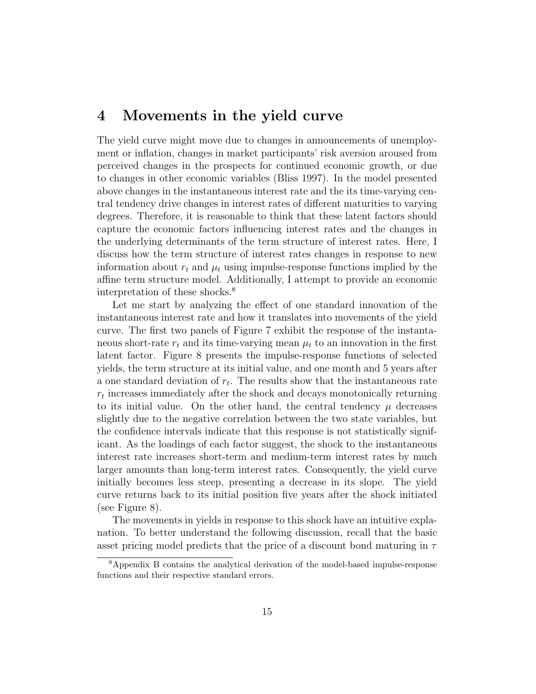### 4 Movements in the yield curve

The yield curve might move due to changes in announcements of unemployment or inflation, changes in market participants' risk aversion aroused from perceived changes in the prospects for continued economic growth, or due to changes in other economic variables (Bliss 1997). In the model presented above changes in the instantaneous interest rate and the its time-varying central tendency drive changes in interest rates of different maturities to varying degrees. Therefore, it is reasonable to think that these latent factors should capture the economic factors influencing interest rates and the changes in the underlying determinants of the term structure of interest rates. Here, I discuss how the term structure of interest rates changes in response to new information about  $r_t$  and  $\mu_t$  using impulse-response functions implied by the affine term structure model. Additionally, I attempt to provide an economic interpretation of these shocks.<sup>8</sup>

Let me start by analyzing the effect of one standard innovation of the instantaneous interest rate and how it translates into movements of the yield curve. The first two panels of Figure 7 exhibit the response of the instantaneous short-rate  $r_t$  and its time-varying mean  $\mu_t$  to an innovation in the first latent factor. Figure 8 presents the impulse-response functions of selected yields, the term structure at its initial value, and one month and 5 years after a one standard deviation of  $r_t$ . The results show that the instantaneous rate  $r_t$  increases immediately after the shock and decays monotonically returning to its initial value. On the other hand, the central tendency  $\mu$  decreases slightly due to the negative correlation between the two state variables, but the confidence intervals indicate that this response is not statistically significant. As the loadings of each factor suggest, the shock to the instantaneous interest rate increases short-term and medium-term interest rates by much larger amounts than long-term interest rates. Consequently, the yield curve initially becomes less steep, presenting a decrease in its slope. The yield curve returns back to its initial position five years after the shock initiated (see Figure 8).

The movements in yields in response to this shock have an intuitive explanation. To better understand the following discussion, recall that the basic asset pricing model predicts that the price of a discount bond maturing in  $\tau$ 

<sup>8</sup>Appendix B contains the analytical derivation of the model-based impulse-response functions and their respective standard errors.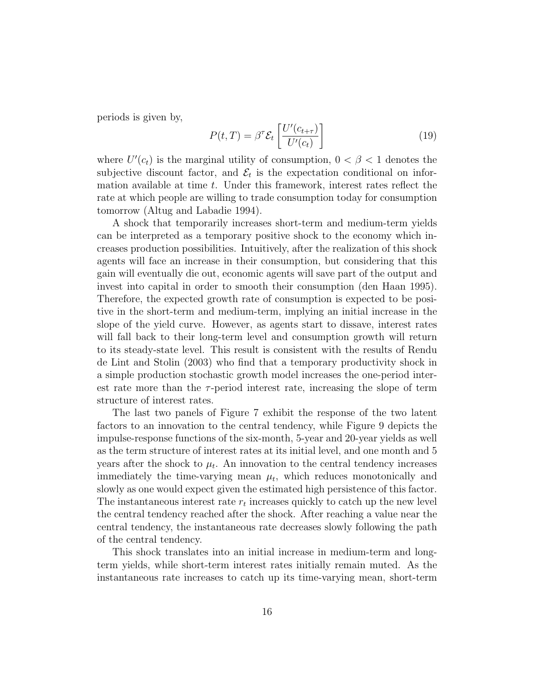periods is given by,

$$
P(t,T) = \beta^{\tau} \mathcal{E}_t \left[ \frac{U'(c_{t+\tau})}{U'(c_t)} \right]
$$
 (19)

where  $U'(c_t)$  is the marginal utility of consumption,  $0 < \beta < 1$  denotes the subjective discount factor, and  $\mathcal{E}_t$  is the expectation conditional on information available at time t. Under this framework, interest rates reflect the rate at which people are willing to trade consumption today for consumption tomorrow (Altug and Labadie 1994).

A shock that temporarily increases short-term and medium-term yields can be interpreted as a temporary positive shock to the economy which increases production possibilities. Intuitively, after the realization of this shock agents will face an increase in their consumption, but considering that this gain will eventually die out, economic agents will save part of the output and invest into capital in order to smooth their consumption (den Haan 1995). Therefore, the expected growth rate of consumption is expected to be positive in the short-term and medium-term, implying an initial increase in the slope of the yield curve. However, as agents start to dissave, interest rates will fall back to their long-term level and consumption growth will return to its steady-state level. This result is consistent with the results of Rendu de Lint and Stolin (2003) who find that a temporary productivity shock in a simple production stochastic growth model increases the one-period interest rate more than the  $\tau$ -period interest rate, increasing the slope of term structure of interest rates.

The last two panels of Figure 7 exhibit the response of the two latent factors to an innovation to the central tendency, while Figure 9 depicts the impulse-response functions of the six-month, 5-year and 20-year yields as well as the term structure of interest rates at its initial level, and one month and 5 years after the shock to  $\mu_t$ . An innovation to the central tendency increases immediately the time-varying mean  $\mu_t$ , which reduces monotonically and slowly as one would expect given the estimated high persistence of this factor. The instantaneous interest rate  $r_t$  increases quickly to catch up the new level the central tendency reached after the shock. After reaching a value near the central tendency, the instantaneous rate decreases slowly following the path of the central tendency.

This shock translates into an initial increase in medium-term and longterm yields, while short-term interest rates initially remain muted. As the instantaneous rate increases to catch up its time-varying mean, short-term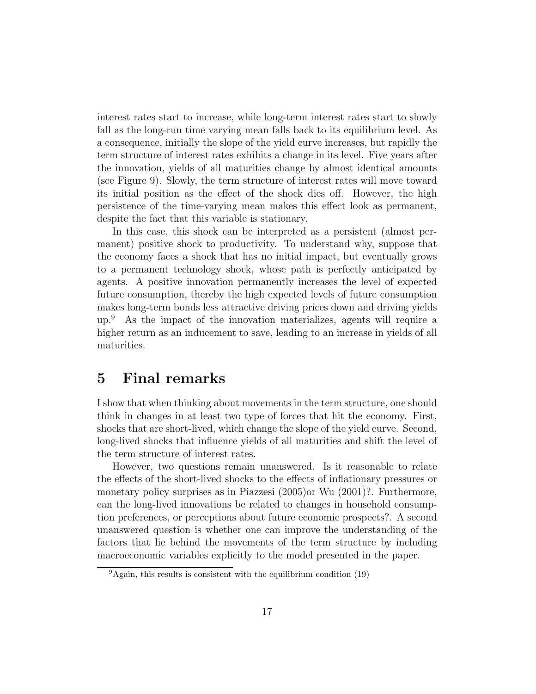interest rates start to increase, while long-term interest rates start to slowly fall as the long-run time varying mean falls back to its equilibrium level. As a consequence, initially the slope of the yield curve increases, but rapidly the term structure of interest rates exhibits a change in its level. Five years after the innovation, yields of all maturities change by almost identical amounts (see Figure 9). Slowly, the term structure of interest rates will move toward its initial position as the effect of the shock dies off. However, the high persistence of the time-varying mean makes this effect look as permanent, despite the fact that this variable is stationary.

In this case, this shock can be interpreted as a persistent (almost permanent) positive shock to productivity. To understand why, suppose that the economy faces a shock that has no initial impact, but eventually grows to a permanent technology shock, whose path is perfectly anticipated by agents. A positive innovation permanently increases the level of expected future consumption, thereby the high expected levels of future consumption makes long-term bonds less attractive driving prices down and driving yields up.<sup>9</sup> As the impact of the innovation materializes, agents will require a higher return as an inducement to save, leading to an increase in yields of all maturities.

### 5 Final remarks

I show that when thinking about movements in the term structure, one should think in changes in at least two type of forces that hit the economy. First, shocks that are short-lived, which change the slope of the yield curve. Second, long-lived shocks that influence yields of all maturities and shift the level of the term structure of interest rates.

However, two questions remain unanswered. Is it reasonable to relate the effects of the short-lived shocks to the effects of inflationary pressures or monetary policy surprises as in Piazzesi (2005)or Wu (2001)?. Furthermore, can the long-lived innovations be related to changes in household consumption preferences, or perceptions about future economic prospects?. A second unanswered question is whether one can improve the understanding of the factors that lie behind the movements of the term structure by including macroeconomic variables explicitly to the model presented in the paper.

 $9^9$ Again, this results is consistent with the equilibrium condition (19)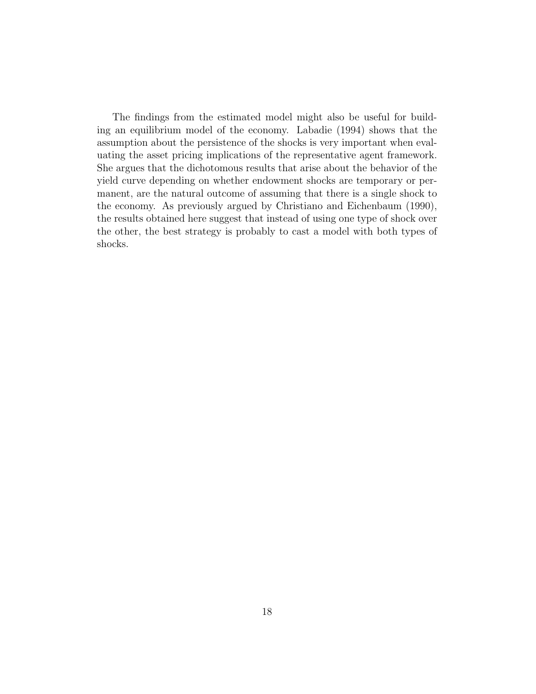The findings from the estimated model might also be useful for building an equilibrium model of the economy. Labadie (1994) shows that the assumption about the persistence of the shocks is very important when evaluating the asset pricing implications of the representative agent framework. She argues that the dichotomous results that arise about the behavior of the yield curve depending on whether endowment shocks are temporary or permanent, are the natural outcome of assuming that there is a single shock to the economy. As previously argued by Christiano and Eichenbaum (1990), the results obtained here suggest that instead of using one type of shock over the other, the best strategy is probably to cast a model with both types of shocks.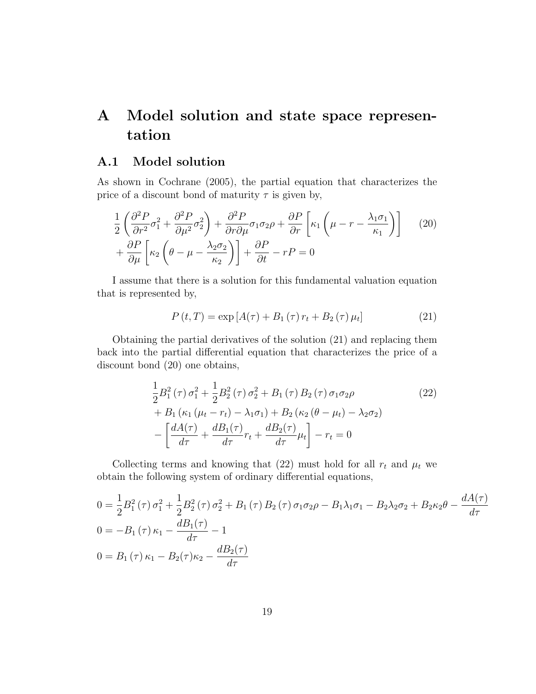## A Model solution and state space representation

#### A.1 Model solution

As shown in Cochrane (2005), the partial equation that characterizes the price of a discount bond of maturity  $\tau$  is given by,

$$
\frac{1}{2} \left( \frac{\partial^2 P}{\partial r^2} \sigma_1^2 + \frac{\partial^2 P}{\partial \mu^2} \sigma_2^2 \right) + \frac{\partial^2 P}{\partial r \partial \mu} \sigma_1 \sigma_2 \rho + \frac{\partial P}{\partial r} \left[ \kappa_1 \left( \mu - r - \frac{\lambda_1 \sigma_1}{\kappa_1} \right) \right]
$$
\n
$$
+ \frac{\partial P}{\partial \mu} \left[ \kappa_2 \left( \theta - \mu - \frac{\lambda_2 \sigma_2}{\kappa_2} \right) \right] + \frac{\partial P}{\partial t} - rP = 0
$$
\n(20)

I assume that there is a solution for this fundamental valuation equation that is represented by,

$$
P(t,T) = \exp [A(\tau) + B_1(\tau) r_t + B_2(\tau) \mu_t]
$$
\n(21)

Obtaining the partial derivatives of the solution (21) and replacing them back into the partial differential equation that characterizes the price of a discount bond (20) one obtains,

$$
\frac{1}{2}B_1^2(\tau)\sigma_1^2 + \frac{1}{2}B_2^2(\tau)\sigma_2^2 + B_1(\tau)B_2(\tau)\sigma_1\sigma_2\rho
$$
\n
$$
+ B_1(\kappa_1(\mu_t - r_t) - \lambda_1\sigma_1) + B_2(\kappa_2(\theta - \mu_t) - \lambda_2\sigma_2)
$$
\n
$$
- \left[ \frac{dA(\tau)}{d\tau} + \frac{dB_1(\tau)}{d\tau}r_t + \frac{dB_2(\tau)}{d\tau}\mu_t \right] - r_t = 0
$$
\n(22)

Collecting terms and knowing that (22) must hold for all  $r_t$  and  $\mu_t$  we obtain the following system of ordinary differential equations,

$$
0 = \frac{1}{2}B_1^2(\tau)\sigma_1^2 + \frac{1}{2}B_2^2(\tau)\sigma_2^2 + B_1(\tau)B_2(\tau)\sigma_1\sigma_2\rho - B_1\lambda_1\sigma_1 - B_2\lambda_2\sigma_2 + B_2\kappa_2\theta - \frac{dA(\tau)}{d\tau}
$$
  
\n
$$
0 = -B_1(\tau)\kappa_1 - \frac{dB_1(\tau)}{d\tau} - 1
$$
  
\n
$$
0 = B_1(\tau)\kappa_1 - B_2(\tau)\kappa_2 - \frac{dB_2(\tau)}{d\tau}
$$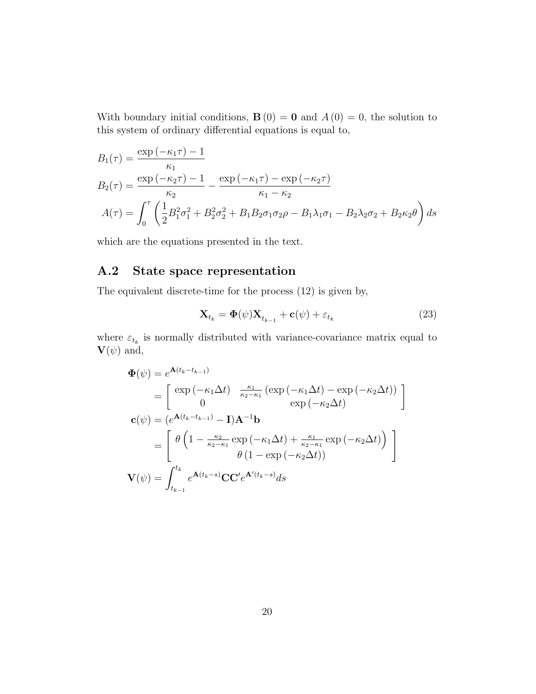With boundary initial conditions,  $\mathbf{B}(0) = \mathbf{0}$  and  $A(0) = 0$ , the solution to this system of ordinary differential equations is equal to,

$$
B_1(\tau) = \frac{\exp(-\kappa_1 \tau) - 1}{\kappa_1} B_2(\tau) = \frac{\exp(-\kappa_2 \tau) - 1}{\kappa_2} - \frac{\exp(-\kappa_1 \tau) - \exp(-\kappa_2 \tau)}{\kappa_1 - \kappa_2} A(\tau) = \int_0^{\tau} \left(\frac{1}{2} B_1^2 \sigma_1^2 + B_2^2 \sigma_2^2 + B_1 B_2 \sigma_1 \sigma_2 \rho - B_1 \lambda_1 \sigma_1 - B_2 \lambda_2 \sigma_2 + B_2 \kappa_2 \theta\right) ds
$$

which are the equations presented in the text.

### A.2 State space representation

The equivalent discrete-time for the process (12) is given by,

$$
\mathbf{X}_{t_k} = \mathbf{\Phi}(\psi) \mathbf{X}_{t_{k-1}} + \mathbf{c}(\psi) + \varepsilon_{t_k} \tag{23}
$$

where  $\varepsilon_{t_k}$  is normally distributed with variance-covariance matrix equal to  $\mathbf{V}(\psi)$  and,

$$
\Phi(\psi) = e^{\mathbf{A}(t_k - t_{k-1})}
$$
\n
$$
= \begin{bmatrix}\n\exp(-\kappa_1 \Delta t) & \frac{\kappa_1}{\kappa_2 - \kappa_1} \left( \exp(-\kappa_1 \Delta t) - \exp(-\kappa_2 \Delta t) \right) \\
0 & \exp(-\kappa_2 \Delta t)\n\end{bmatrix}
$$
\n
$$
\mathbf{c}(\psi) = (e^{\mathbf{A}(t_k - t_{k-1})} - \mathbf{I})\mathbf{A}^{-1}\mathbf{b}
$$
\n
$$
= \begin{bmatrix}\n\theta \left(1 - \frac{\kappa_2}{\kappa_2 - \kappa_1} \exp(-\kappa_1 \Delta t) + \frac{\kappa_1}{\kappa_2 - \kappa_1} \exp(-\kappa_2 \Delta t)\right) \\
\theta \left(1 - \exp(-\kappa_2 \Delta t)\right)\n\end{bmatrix}
$$
\n
$$
\mathbf{V}(\psi) = \int_{t_{k-1}}^{t_k} e^{\mathbf{A}(t_k - s)} \mathbf{C} \mathbf{C}' e^{\mathbf{A}'(t_k - s)} ds
$$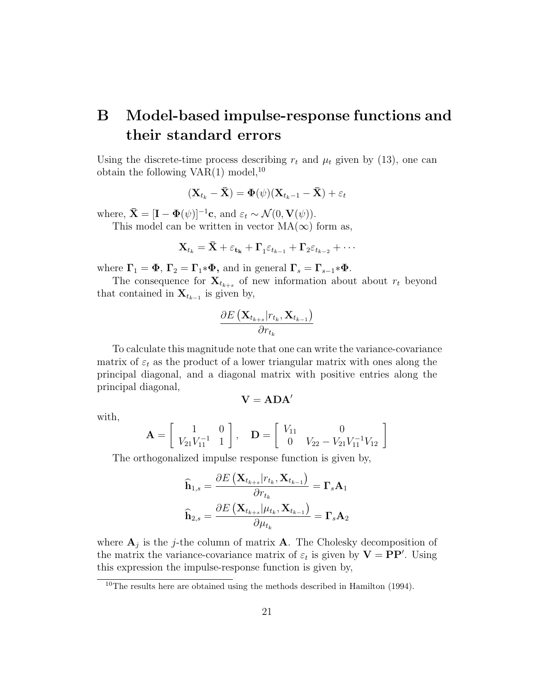## B Model-based impulse-response functions and their standard errors

Using the discrete-time process describing  $r_t$  and  $\mu_t$  given by (13), one can obtain the following  $VAR(1) \text{ model},^{10}$ 

$$
(\mathbf{X}_{t_k} - \bar{\mathbf{X}}) = \mathbf{\Phi}(\psi)(\mathbf{X}_{t_k-1} - \bar{\mathbf{X}}) + \varepsilon_t
$$

where,  $\bar{\mathbf{X}} = [\mathbf{I} - \mathbf{\Phi}(\psi)]^{-1} \mathbf{c}$ , and  $\varepsilon_t \sim \mathcal{N}(0, \mathbf{V}(\psi))$ .

This model can be written in vector  $MA(\infty)$  form as,

$$
\mathbf{X}_{t_k} = \bar{\mathbf{X}} + \varepsilon_{\mathbf{t_k}} + \mathbf{\Gamma}_1 \varepsilon_{t_{k-1}} + \mathbf{\Gamma}_2 \varepsilon_{t_{k-2}} + \cdots
$$

where  $\Gamma_1 = \Phi$ ,  $\Gamma_2 = \Gamma_1 * \Phi$ , and in general  $\Gamma_s = \Gamma_{s-1} * \Phi$ .

The consequence for  $\mathbf{X}_{t_{k+s}}$  of new information about about  $r_t$  beyond that contained in  $\mathbf{X}_{t_{k-1}}$  is given by,

$$
\frac{\partial E\left(\mathbf{X}_{t_{k+s}}|r_{t_k},\mathbf{X}_{t_{k-1}}\right)}{\partial r_{t_k}}
$$

To calculate this magnitude note that one can write the variance-covariance matrix of  $\varepsilon_t$  as the product of a lower triangular matrix with ones along the principal diagonal, and a diagonal matrix with positive entries along the principal diagonal,

$$
\mathbf{V}=\mathbf{ADA}'
$$

with,

$$
\mathbf{A} = \begin{bmatrix} 1 & 0 \\ V_{21}V_{11}^{-1} & 1 \end{bmatrix}, \quad \mathbf{D} = \begin{bmatrix} V_{11} & 0 \\ 0 & V_{22} - V_{21}V_{11}^{-1}V_{12} \end{bmatrix}
$$

The orthogonalized impulse response function is given by,

$$
\begin{aligned} \widehat{\mathbf{h}}_{1,s} &= \frac{\partial E\left(\mathbf{X}_{t_{k+s}}|r_{t_k},\mathbf{X}_{t_{k-1}}\right)}{\partial r_{t_k}} = \boldsymbol{\Gamma}_s \mathbf{A}_1\\ \widehat{\mathbf{h}}_{2,s} &= \frac{\partial E\left(\mathbf{X}_{t_{k+s}}| \mu_{t_k},\mathbf{X}_{t_{k-1}}\right)}{\partial \mu_{t_k}} = \boldsymbol{\Gamma}_s \mathbf{A}_2 \end{aligned}
$$

where  $A_j$  is the *j*-the column of matrix A. The Cholesky decomposition of the matrix the variance-covariance matrix of  $\varepsilon_t$  is given by  $\mathbf{V} = \mathbf{P}\mathbf{P}'$ . Using this expression the impulse-response function is given by,

 $10$ The results here are obtained using the methods described in Hamilton (1994).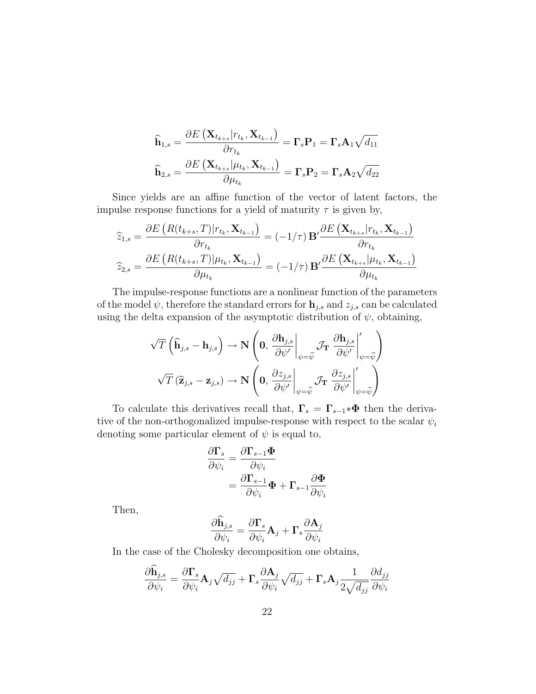$$
\begin{aligned}\n\widehat{\mathbf{h}}_{1,s} &= \frac{\partial E\left(\mathbf{X}_{t_{k+s}}|r_{t_k}, \mathbf{X}_{t_{k-1}}\right)}{\partial r_{t_k}} = \Gamma_s \mathbf{P}_1 = \Gamma_s \mathbf{A}_1 \sqrt{d_{11}} \\
\widehat{\mathbf{h}}_{2,s} &= \frac{\partial E\left(\mathbf{X}_{t_{k+s}}|\mu_{t_k}, \mathbf{X}_{t_{k-1}}\right)}{\partial \mu_{t_k}} = \Gamma_s \mathbf{P}_2 = \Gamma_s \mathbf{A}_2 \sqrt{d_{22}}\n\end{aligned}
$$

Since yields are an affine function of the vector of latent factors, the impulse response functions for a yield of maturity  $\tau$  is given by,

$$
\widehat{z}_{1,s} = \frac{\partial E\left(R(t_{k+s}, T)|r_{t_k}, \mathbf{X}_{t_{k-1}}\right)}{\partial r_{t_k}} = (-1/\tau) \mathbf{B}' \frac{\partial E\left(\mathbf{X}_{t_{k+s}}|r_{t_k}, \mathbf{X}_{t_{k-1}}\right)}{\partial r_{t_k}}
$$
\n
$$
\widehat{z}_{2,s} = \frac{\partial E\left(R(t_{k+s}, T)|\mu_{t_k}, \mathbf{X}_{t_{k-1}}\right)}{\partial \mu_{t_k}} = (-1/\tau) \mathbf{B}' \frac{\partial E\left(\mathbf{X}_{t_{k+s}}| \mu_{t_k}, \mathbf{X}_{t_{k-1}}\right)}{\partial \mu_{t_k}}
$$

The impulse-response functions are a nonlinear function of the parameters of the model  $\psi$ , therefore the standard errors for  $\mathbf{h}_{j,s}$  and  $z_{j,s}$  can be calculated using the delta expansion of the asymptotic distribution of  $\psi$ , obtaining,

$$
\begin{aligned}\n\sqrt{T}\left(\widehat{\mathbf{h}}_{j,s}-\mathbf{h}_{j,s}\right) &\rightarrow \mathbf{N}\left(\mathbf{0},\left.\frac{\partial \mathbf{h}_{j,s}}{\partial \psi'}\right|_{\psi=\widehat{\psi}}\mathcal{J}_{\mathbf{T}}\left.\frac{\partial \mathbf{h}_{j,s}}{\partial \psi'}\right|_{\psi=\widehat{\psi}}\right) \\
\sqrt{T}\left(\widehat{\mathbf{z}}_{j,s}-\mathbf{z}_{j,s}\right) &\rightarrow \mathbf{N}\left(\mathbf{0},\left.\frac{\partial z_{j,s}}{\partial \psi'}\right|_{\psi=\widehat{\psi}}\mathcal{J}_{\mathbf{T}}\left.\frac{\partial z_{j,s}}{\partial \psi'}\right|_{\psi=\widehat{\psi}}'\right)\n\end{aligned}
$$

To calculate this derivatives recall that,  $\Gamma_s = \Gamma_{s-1} * \Phi$  then the derivative of the non-orthogonalized impulse-response with respect to the scalar  $\psi_i$ denoting some particular element of  $\psi$  is equal to,

$$
\frac{\partial \mathbf{\Gamma}_s}{\partial \psi_i} = \frac{\partial \mathbf{\Gamma}_{s-1} \mathbf{\Phi}}{\partial \psi_i} \n= \frac{\partial \mathbf{\Gamma}_{s-1}}{\partial \psi_i} \mathbf{\Phi} + \mathbf{\Gamma}_{s-1} \frac{\partial \mathbf{\Phi}}{\partial \psi_i}
$$

Then,

$$
\frac{\partial \mathbf{h}_{j,s}}{\partial \psi_i} = \frac{\partial \mathbf{\Gamma}_s}{\partial \psi_i} \mathbf{A}_j + \mathbf{\Gamma}_s \frac{\partial \mathbf{A}_j}{\partial \psi_i}
$$

In the case of the Cholesky decomposition one obtains,

$$
\frac{\partial \mathbf{h}_{j,s}}{\partial \psi_i} = \frac{\partial \mathbf{\Gamma}_s}{\partial \psi_i} \mathbf{A}_j \sqrt{d_{jj}} + \mathbf{\Gamma}_s \frac{\partial \mathbf{A}_j}{\partial \psi_i} \sqrt{d_{jj}} + \mathbf{\Gamma}_s \mathbf{A}_j \frac{1}{2\sqrt{d_{jj}}} \frac{\partial d_{jj}}{\partial \psi_i}
$$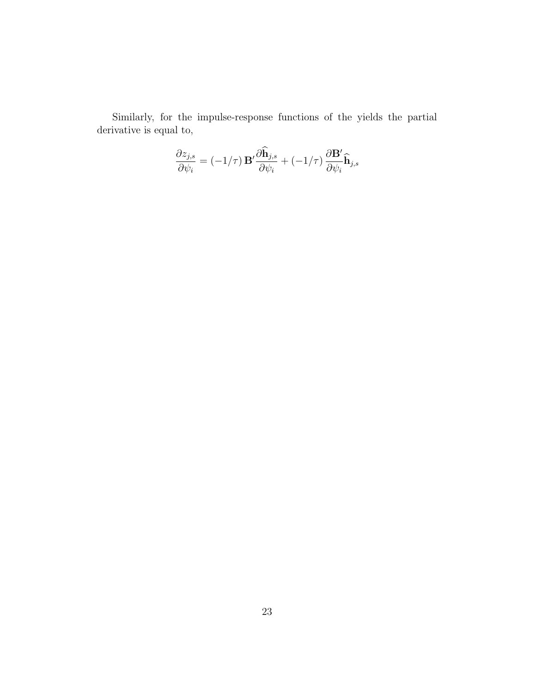Similarly, for the impulse-response functions of the yields the partial derivative is equal to,

$$
\frac{\partial z_{j,s}}{\partial \psi_i} = (-1/\tau) \mathbf{B}' \frac{\partial \hat{\mathbf{h}}_{j,s}}{\partial \psi_i} + (-1/\tau) \frac{\partial \mathbf{B}'}{\partial \psi_i} \hat{\mathbf{h}}_{j,s}
$$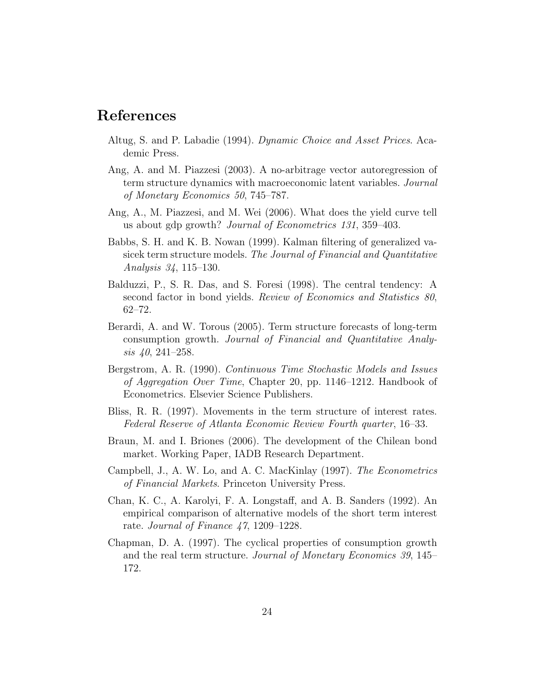### References

- Altug, S. and P. Labadie (1994). Dynamic Choice and Asset Prices. Academic Press.
- Ang, A. and M. Piazzesi (2003). A no-arbitrage vector autoregression of term structure dynamics with macroeconomic latent variables. Journal of Monetary Economics 50, 745–787.
- Ang, A., M. Piazzesi, and M. Wei (2006). What does the yield curve tell us about gdp growth? Journal of Econometrics 131, 359–403.
- Babbs, S. H. and K. B. Nowan (1999). Kalman filtering of generalized vasicek term structure models. The Journal of Financial and Quantitative Analysis 34, 115–130.
- Balduzzi, P., S. R. Das, and S. Foresi (1998). The central tendency: A second factor in bond yields. Review of Economics and Statistics 80, 62–72.
- Berardi, A. and W. Torous (2005). Term structure forecasts of long-term consumption growth. Journal of Financial and Quantitative Analysis 40, 241–258.
- Bergstrom, A. R. (1990). Continuous Time Stochastic Models and Issues of Aggregation Over Time, Chapter 20, pp. 1146–1212. Handbook of Econometrics. Elsevier Science Publishers.
- Bliss, R. R. (1997). Movements in the term structure of interest rates. Federal Reserve of Atlanta Economic Review Fourth quarter, 16–33.
- Braun, M. and I. Briones (2006). The development of the Chilean bond market. Working Paper, IADB Research Department.
- Campbell, J., A. W. Lo, and A. C. MacKinlay (1997). The Econometrics of Financial Markets. Princeton University Press.
- Chan, K. C., A. Karolyi, F. A. Longstaff, and A. B. Sanders (1992). An empirical comparison of alternative models of the short term interest rate. Journal of Finance 47, 1209–1228.
- Chapman, D. A. (1997). The cyclical properties of consumption growth and the real term structure. Journal of Monetary Economics 39, 145– 172.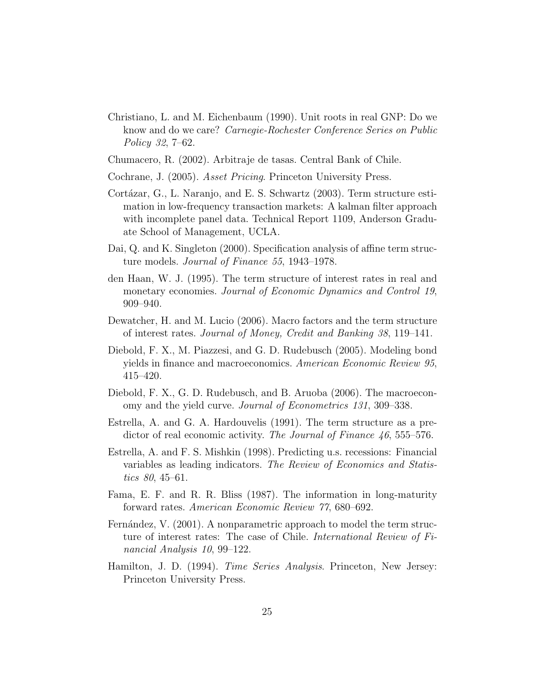- Christiano, L. and M. Eichenbaum (1990). Unit roots in real GNP: Do we know and do we care? *Carnegie-Rochester Conference Series on Public* Policy 32, 7–62.
- Chumacero, R. (2002). Arbitraje de tasas. Central Bank of Chile.
- Cochrane, J. (2005). Asset Pricing. Princeton University Press.
- Cortázar, G., L. Naranjo, and E. S. Schwartz  $(2003)$ . Term structure estimation in low-frequency transaction markets: A kalman filter approach with incomplete panel data. Technical Report 1109, Anderson Graduate School of Management, UCLA.
- Dai, Q. and K. Singleton (2000). Specification analysis of affine term structure models. Journal of Finance 55, 1943–1978.
- den Haan, W. J. (1995). The term structure of interest rates in real and monetary economies. Journal of Economic Dynamics and Control 19, 909–940.
- Dewatcher, H. and M. Lucio (2006). Macro factors and the term structure of interest rates. Journal of Money, Credit and Banking 38, 119–141.
- Diebold, F. X., M. Piazzesi, and G. D. Rudebusch (2005). Modeling bond yields in finance and macroeconomics. American Economic Review 95, 415–420.
- Diebold, F. X., G. D. Rudebusch, and B. Aruoba (2006). The macroeconomy and the yield curve. *Journal of Econometrics 131*, 309–338.
- Estrella, A. and G. A. Hardouvelis (1991). The term structure as a predictor of real economic activity. The Journal of Finance 46, 555–576.
- Estrella, A. and F. S. Mishkin (1998). Predicting u.s. recessions: Financial variables as leading indicators. The Review of Economics and Statistics 80, 45–61.
- Fama, E. F. and R. R. Bliss (1987). The information in long-maturity forward rates. American Economic Review 77, 680–692.
- Fernández, V. (2001). A nonparametric approach to model the term structure of interest rates: The case of Chile. International Review of Financial Analysis 10, 99–122.
- Hamilton, J. D. (1994). *Time Series Analysis*. Princeton, New Jersey: Princeton University Press.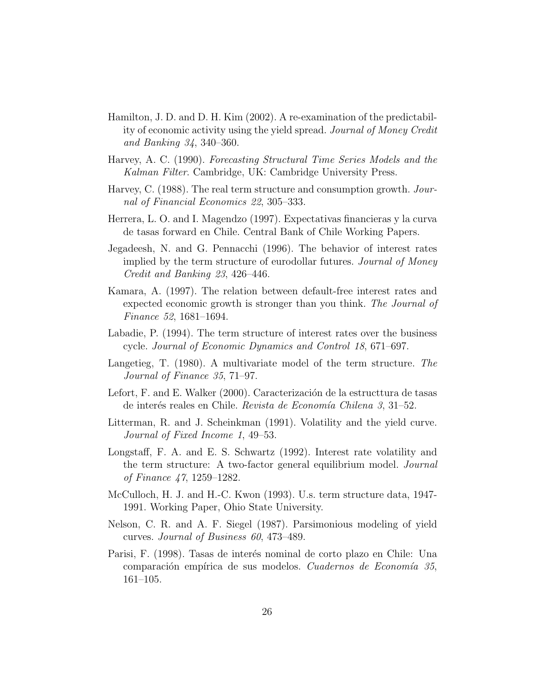- Hamilton, J. D. and D. H. Kim (2002). A re-examination of the predictability of economic activity using the yield spread. Journal of Money Credit and Banking 34, 340–360.
- Harvey, A. C. (1990). Forecasting Structural Time Series Models and the Kalman Filter. Cambridge, UK: Cambridge University Press.
- Harvey, C. (1988). The real term structure and consumption growth. Journal of Financial Economics 22, 305–333.
- Herrera, L. O. and I. Magendzo (1997). Expectativas financieras y la curva de tasas forward en Chile. Central Bank of Chile Working Papers.
- Jegadeesh, N. and G. Pennacchi (1996). The behavior of interest rates implied by the term structure of eurodollar futures. *Journal of Money* Credit and Banking 23, 426–446.
- Kamara, A. (1997). The relation between default-free interest rates and expected economic growth is stronger than you think. The Journal of Finance 52, 1681–1694.
- Labadie, P. (1994). The term structure of interest rates over the business cycle. Journal of Economic Dynamics and Control 18, 671–697.
- Langetieg, T. (1980). A multivariate model of the term structure. The Journal of Finance 35, 71–97.
- Lefort, F. and E. Walker (2000). Caracterización de la estructtura de tasas de interés reales en Chile. Revista de Economía Chilena 3, 31–52.
- Litterman, R. and J. Scheinkman (1991). Volatility and the yield curve. Journal of Fixed Income 1, 49–53.
- Longstaff, F. A. and E. S. Schwartz (1992). Interest rate volatility and the term structure: A two-factor general equilibrium model. Journal of Finance 47, 1259–1282.
- McCulloch, H. J. and H.-C. Kwon (1993). U.s. term structure data, 1947- 1991. Working Paper, Ohio State University.
- Nelson, C. R. and A. F. Siegel (1987). Parsimonious modeling of yield curves. Journal of Business 60, 473–489.
- Parisi, F. (1998). Tasas de interés nominal de corto plazo en Chile: Una comparación empírica de sus modelos. Cuadernos de Economía 35, 161–105.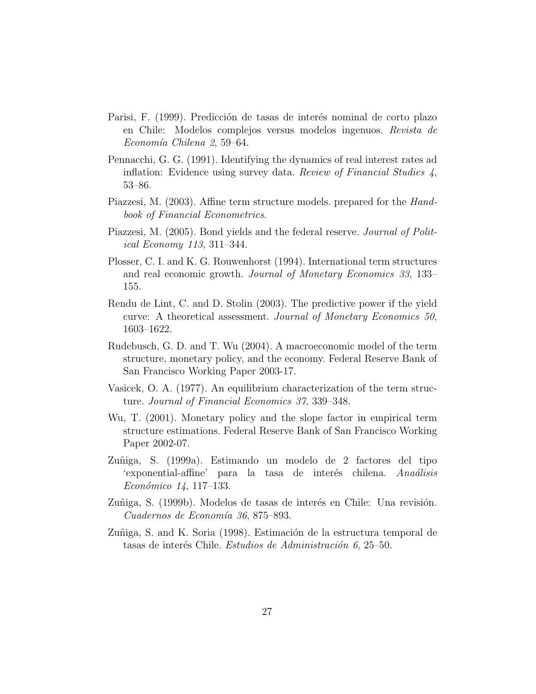- Parisi, F. (1999). Predicción de tasas de interés nominal de corto plazo en Chile: Modelos complejos versus modelos ingenuos. Revista de Economía Chilena 2, 59–64.
- Pennacchi, G. G. (1991). Identifying the dynamics of real interest rates ad inflation: Evidence using survey data. Review of Financial Studies 4, 53–86.
- Piazzesi, M. (2003). Affine term structure models. prepared for the Handbook of Financial Econometrics.
- Piazzesi, M. (2005). Bond yields and the federal reserve. *Journal of Polit*ical Economy 113, 311–344.
- Plosser, C. I. and K. G. Rouwenhorst (1994). International term structures and real economic growth. Journal of Monetary Economics 33, 133– 155.
- Rendu de Lint, C. and D. Stolin (2003). The predictive power if the yield curve: A theoretical assessment. Journal of Monetary Economics 50, 1603–1622.
- Rudebusch, G. D. and T. Wu (2004). A macroeconomic model of the term structure, monetary policy, and the economy. Federal Reserve Bank of San Francisco Working Paper 2003-17.
- Vasicek, O. A. (1977). An equilibrium characterization of the term structure. Journal of Financial Economics 37, 339–348.
- Wu, T. (2001). Monetary policy and the slope factor in empirical term structure estimations. Federal Reserve Bank of San Francisco Working Paper 2002-07.
- Zuñiga, S. (1999a). Estimando un modelo de 2 factores del tipo 'exponential-affine' para la tasa de interés chilena. Anaálisis Económico 14, 117–133.
- Zuñiga, S. (1999b). Modelos de tasas de interés en Chile: Una revisión.  $Cuadernos de Economía 36, 875-893.$
- Zuñiga, S. and K. Soria (1998). Estimación de la estructura temporal de tasas de interés Chile. Estudios de Administración 6, 25–50.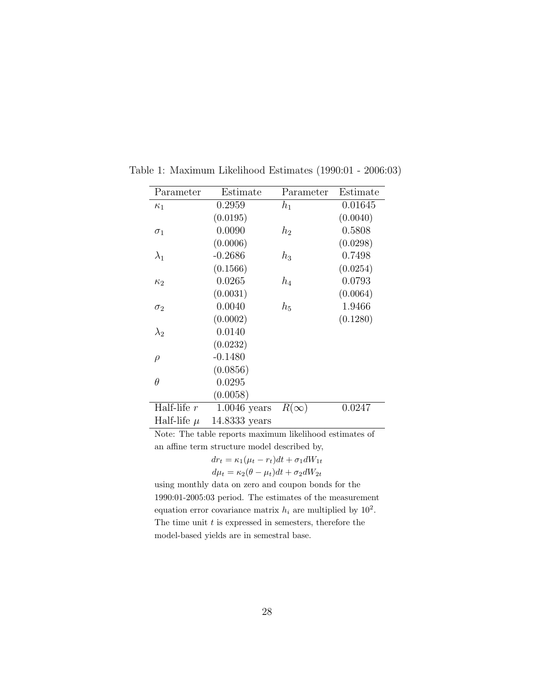| Parameter       | Estimate       | Parameter   | Estimate |
|-----------------|----------------|-------------|----------|
| $\kappa_1$      | 0.2959         | $h_1$       | 0.01645  |
|                 | (0.0195)       |             | (0.0040) |
| $\sigma_1$      | 0.0090         | $h_2$       | 0.5808   |
|                 | (0.0006)       |             | (0.0298) |
| $\lambda_1$     | $-0.2686$      | $h_3$       | 0.7498   |
|                 | (0.1566)       |             | (0.0254) |
| $\kappa_2$      | 0.0265         | $h_4$       | 0.0793   |
|                 | (0.0031)       |             | (0.0064) |
| $\sigma_2$      | 0.0040         | $h_5$       | 1.9466   |
|                 | (0.0002)       |             | (0.1280) |
| $\lambda_2$     | 0.0140         |             |          |
|                 | (0.0232)       |             |          |
| $\rho$          | $-0.1480$      |             |          |
|                 | (0.0856)       |             |          |
| $\theta$        | 0.0295         |             |          |
|                 | (0.0058)       |             |          |
| Half-life $r$   | $1.0046$ years | $R(\infty)$ | 0.0247   |
| Half-life $\mu$ | 14.8333 years  |             |          |

Table 1: Maximum Likelihood Estimates (1990:01 - 2006:03)

Note: The table reports maximum likelihood estimates of an affine term structure model described by,<br> $dx = \kappa_1(u_1 - x_2)dt + \tau_2 dW_1$ 

$$
dr_t = \kappa_1(\mu_t - r_t)dt + \sigma_1 dW_{1t}
$$
  

$$
d\mu_t = \kappa_2(\theta - \mu_t)dt + \sigma_2 dW_{2t}
$$

using monthly data on zero and coupon bonds for the 1990:01-2005:03 period. The estimates of the measurement equation error covariance matrix  $h_i$  are multiplied by  $10^2$ . The time unit  $t$  is expressed in semesters, therefore the model-based yields are in semestral base.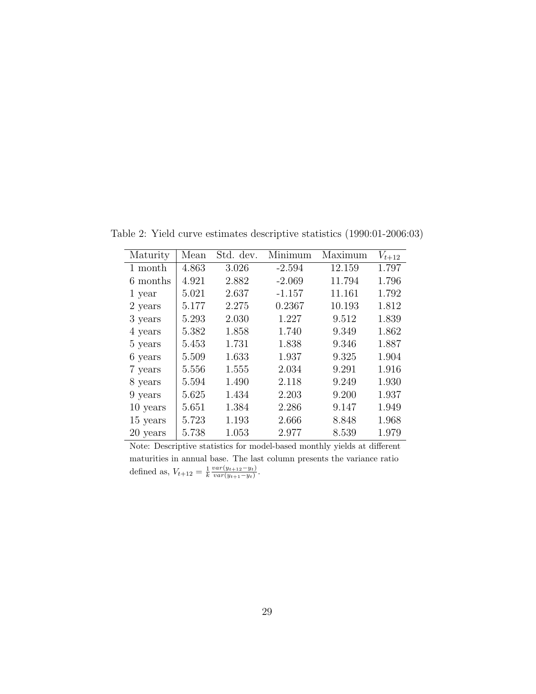Table 2: Yield curve estimates descriptive statistics (1990:01-2006:03)

| Maturity | Mean  | Std. dev. | Minimum  | Maximum | $V_{t+12}$ |
|----------|-------|-----------|----------|---------|------------|
| 1 month  | 4.863 | 3.026     | $-2.594$ | 12.159  | 1.797      |
| 6 months | 4.921 | 2.882     | $-2.069$ | 11.794  | 1.796      |
| 1 year   | 5.021 | 2.637     | $-1.157$ | 11.161  | 1.792      |
| 2 years  | 5.177 | 2.275     | 0.2367   | 10.193  | 1.812      |
| 3 years  | 5.293 | 2.030     | 1.227    | 9.512   | 1.839      |
| 4 years  | 5.382 | 1.858     | 1.740    | 9.349   | 1.862      |
| 5 years  | 5.453 | 1.731     | 1.838    | 9.346   | 1.887      |
| 6 years  | 5.509 | 1.633     | 1.937    | 9.325   | 1.904      |
| 7 years  | 5.556 | 1.555     | 2.034    | 9.291   | 1.916      |
| 8 years  | 5.594 | 1.490     | 2.118    | 9.249   | 1.930      |
| 9 years  | 5.625 | 1.434     | 2.203    | 9.200   | 1.937      |
| 10 years | 5.651 | 1.384     | 2.286    | 9.147   | 1.949      |
| 15 years | 5.723 | 1.193     | 2.666    | 8.848   | 1.968      |
| 20 years | 5.738 | 1.053     | 2.977    | 8.539   | 1.979      |

Note: Descriptive statistics for model-based monthly yields at different maturities in annual base. The last column presents the variance ratio defined as,  $V_{t+12} = \frac{1}{k} \frac{var(y_{t+12} - y_t)}{var(y_{t+1} - y_t)}$  $\frac{var(y_{t+12}-y_t)}{var(y_{t+1}-y_t)}$ .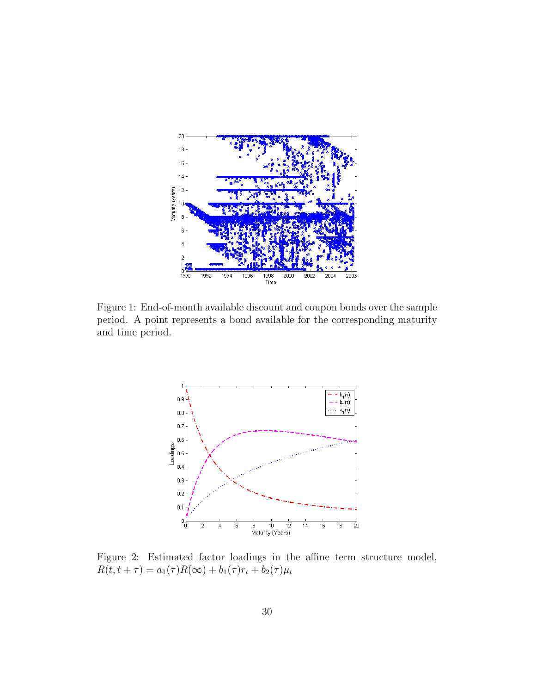

Figure 1: End-of-month available discount and coupon bonds over the sample period. A point represents a bond available for the corresponding maturity and time period.



Figure 2: Estimated factor loadings in the affine term structure model,  $R(t, t + \tau) = a_1(\tau)R(\infty) + b_1(\tau)r_t + b_2(\tau)\mu_t$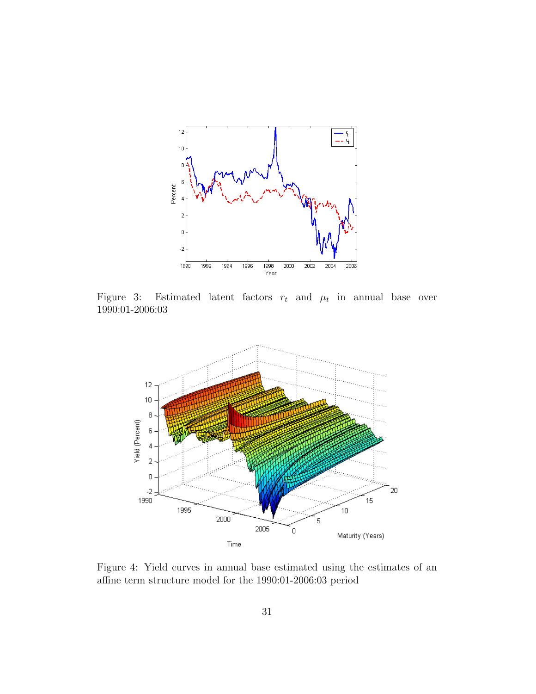

Figure 3: Estimated latent factors  $r_t$  and  $\mu_t$  in annual base over 1990:01-2006:03



Figure 4: Yield curves in annual base estimated using the estimates of an affine term structure model for the 1990:01-2006:03 period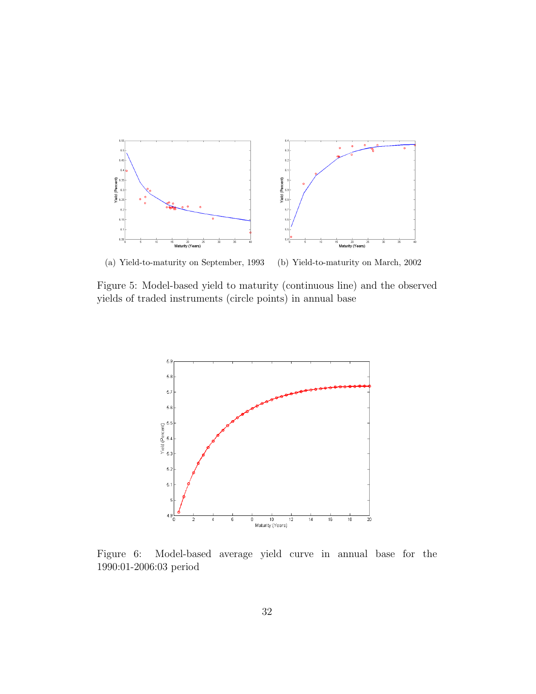

(a) Yield-to-maturity on September, 1993 (b) Yield-to-maturity on March, 2002

Figure 5: Model-based yield to maturity (continuous line) and the observed yields of traded instruments (circle points) in annual base



Figure 6: Model-based average yield curve in annual base for the 1990:01-2006:03 period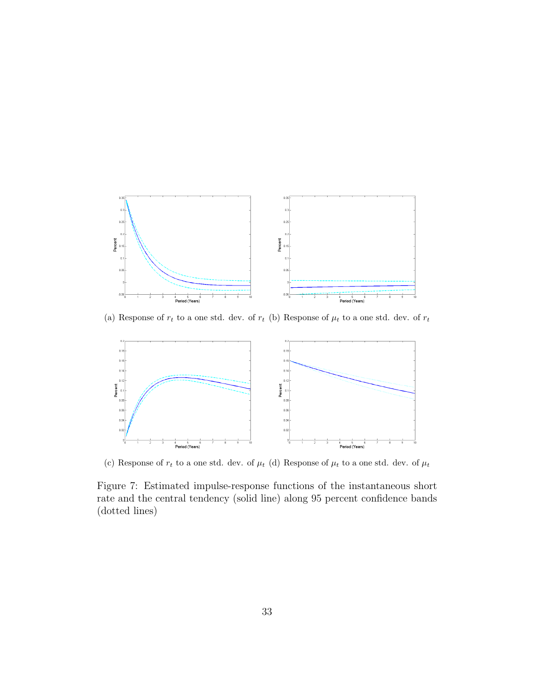

(a) Response of  $r_t$  to a one std. dev. of  $r_t$  (b) Response of  $\mu_t$  to a one std. dev. of  $r_t$ 



(c) Response of  $r_t$  to a one std. dev. of  $\mu_t$  (d) Response of  $\mu_t$  to a one std. dev. of  $\mu_t$ 

Figure 7: Estimated impulse-response functions of the instantaneous short rate and the central tendency (solid line) along 95 percent confidence bands (dotted lines)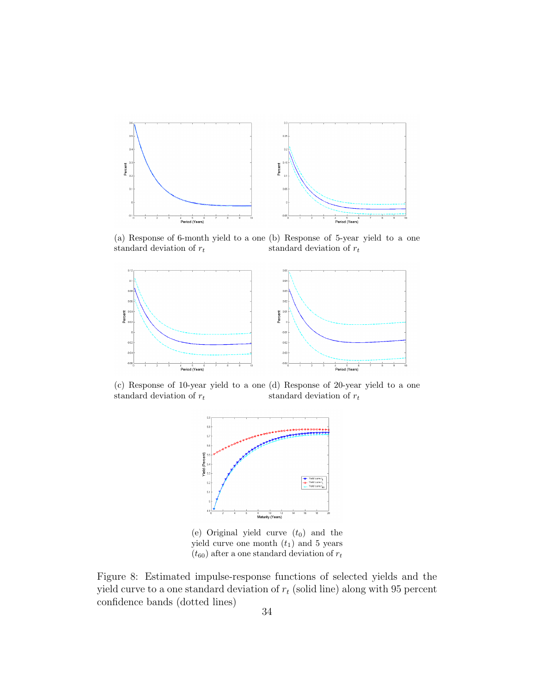

(a) Response of 6-month yield to a one (b) Response of 5-year yield to a one standard deviation of  $r_t$ standard deviation of  $r_t$ 



(c) Response of 10-year yield to a one (d) Response of 20-year yield to a one standard deviation of  $r_t$ standard deviation of  $r_t$ 



(e) Original yield curve  $(t_0)$  and the yield curve one month  $(t_1)$  and 5 years  $(t_{60})$  after a one standard deviation of  $r_t$ 

Figure 8: Estimated impulse-response functions of selected yields and the yield curve to a one standard deviation of  $r_t$  (solid line) along with 95 percent confidence bands (dotted lines)